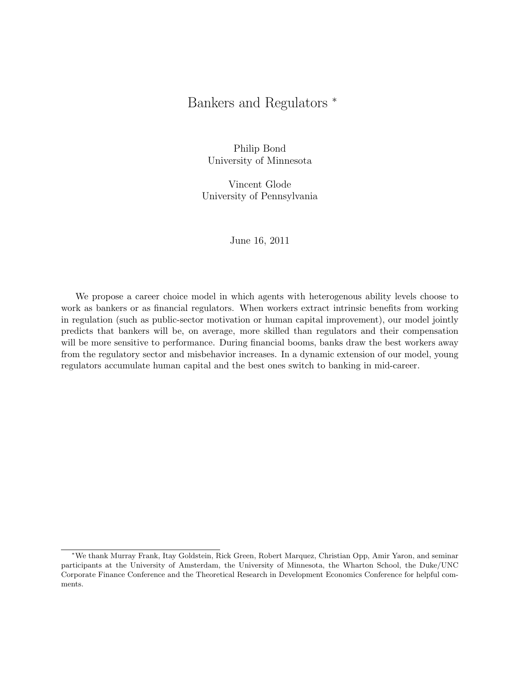# Bankers and Regulators <sup>∗</sup>

Philip Bond University of Minnesota

Vincent Glode University of Pennsylvania

#### June 16, 2011

We propose a career choice model in which agents with heterogenous ability levels choose to work as bankers or as financial regulators. When workers extract intrinsic benefits from working in regulation (such as public-sector motivation or human capital improvement), our model jointly predicts that bankers will be, on average, more skilled than regulators and their compensation will be more sensitive to performance. During financial booms, banks draw the best workers away from the regulatory sector and misbehavior increases. In a dynamic extension of our model, young regulators accumulate human capital and the best ones switch to banking in mid-career.

<sup>∗</sup>We thank Murray Frank, Itay Goldstein, Rick Green, Robert Marquez, Christian Opp, Amir Yaron, and seminar participants at the University of Amsterdam, the University of Minnesota, the Wharton School, the Duke/UNC Corporate Finance Conference and the Theoretical Research in Development Economics Conference for helpful comments.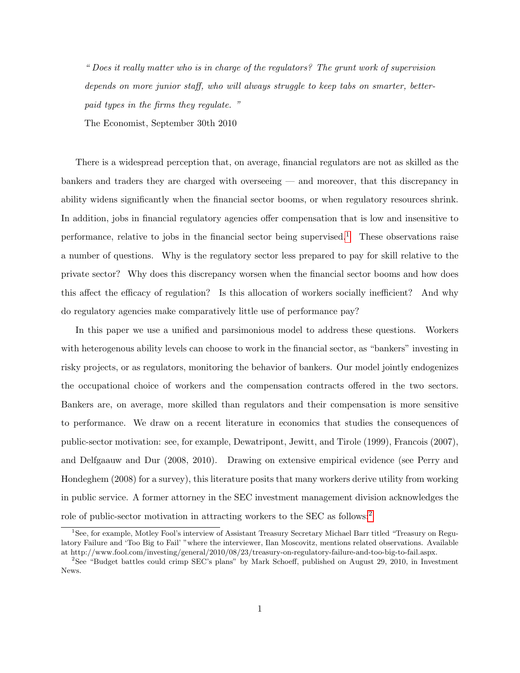" Does it really matter who is in charge of the regulators? The grunt work of supervision depends on more junior staff, who will always struggle to keep tabs on smarter, betterpaid types in the firms they regulate. "

The Economist, September 30th 2010

There is a widespread perception that, on average, financial regulators are not as skilled as the bankers and traders they are charged with overseeing — and moreover, that this discrepancy in ability widens significantly when the financial sector booms, or when regulatory resources shrink. In addition, jobs in financial regulatory agencies offer compensation that is low and insensitive to performance, relative to jobs in the financial sector being supervised.<sup>[1](#page-1-0)</sup> These observations raise a number of questions. Why is the regulatory sector less prepared to pay for skill relative to the private sector? Why does this discrepancy worsen when the financial sector booms and how does this affect the efficacy of regulation? Is this allocation of workers socially inefficient? And why do regulatory agencies make comparatively little use of performance pay?

In this paper we use a unified and parsimonious model to address these questions. Workers with heterogenous ability levels can choose to work in the financial sector, as "bankers" investing in risky projects, or as regulators, monitoring the behavior of bankers. Our model jointly endogenizes the occupational choice of workers and the compensation contracts offered in the two sectors. Bankers are, on average, more skilled than regulators and their compensation is more sensitive to performance. We draw on a recent literature in economics that studies the consequences of public-sector motivation: see, for example, Dewatripont, Jewitt, and Tirole (1999), Francois (2007), and Delfgaauw and Dur (2008, 2010). Drawing on extensive empirical evidence (see Perry and Hondeghem (2008) for a survey), this literature posits that many workers derive utility from working in public service. A former attorney in the SEC investment management division acknowledges the role of public-sector motivation in attracting workers to the SEC as follows:<sup>[2](#page-1-1)</sup>

<span id="page-1-0"></span><sup>&</sup>lt;sup>1</sup>See, for example, Motley Fool's interview of Assistant Treasury Secretary Michael Barr titled "Treasury on Regulatory Failure and 'Too Big to Fail' "where the interviewer, Ilan Moscovitz, mentions related observations. Available at http://www.fool.com/investing/general/2010/08/23/treasury-on-regulatory-failure-and-too-big-to-fail.aspx.

<span id="page-1-1"></span><sup>2</sup>See "Budget battles could crimp SEC's plans" by Mark Schoeff, published on August 29, 2010, in Investment News.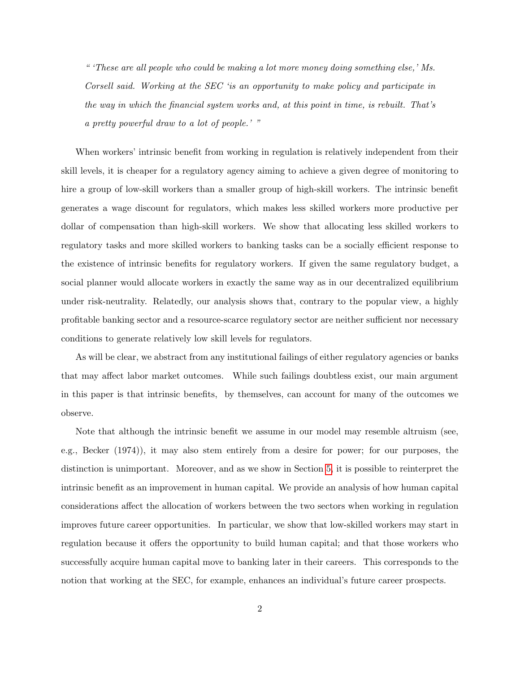" 'These are all people who could be making a lot more money doing something else,' Ms. Corsell said. Working at the SEC 'is an opportunity to make policy and participate in the way in which the financial system works and, at this point in time, is rebuilt. That's a pretty powerful draw to a lot of people.' "

When workers' intrinsic benefit from working in regulation is relatively independent from their skill levels, it is cheaper for a regulatory agency aiming to achieve a given degree of monitoring to hire a group of low-skill workers than a smaller group of high-skill workers. The intrinsic benefit generates a wage discount for regulators, which makes less skilled workers more productive per dollar of compensation than high-skill workers. We show that allocating less skilled workers to regulatory tasks and more skilled workers to banking tasks can be a socially efficient response to the existence of intrinsic benefits for regulatory workers. If given the same regulatory budget, a social planner would allocate workers in exactly the same way as in our decentralized equilibrium under risk-neutrality. Relatedly, our analysis shows that, contrary to the popular view, a highly profitable banking sector and a resource-scarce regulatory sector are neither sufficient nor necessary conditions to generate relatively low skill levels for regulators.

As will be clear, we abstract from any institutional failings of either regulatory agencies or banks that may affect labor market outcomes. While such failings doubtless exist, our main argument in this paper is that intrinsic benefits, by themselves, can account for many of the outcomes we observe.

Note that although the intrinsic benefit we assume in our model may resemble altruism (see, e.g., Becker (1974)), it may also stem entirely from a desire for power; for our purposes, the distinction is unimportant. Moreover, and as we show in Section [5,](#page-23-0) it is possible to reinterpret the intrinsic benefit as an improvement in human capital. We provide an analysis of how human capital considerations affect the allocation of workers between the two sectors when working in regulation improves future career opportunities. In particular, we show that low-skilled workers may start in regulation because it offers the opportunity to build human capital; and that those workers who successfully acquire human capital move to banking later in their careers. This corresponds to the notion that working at the SEC, for example, enhances an individual's future career prospects.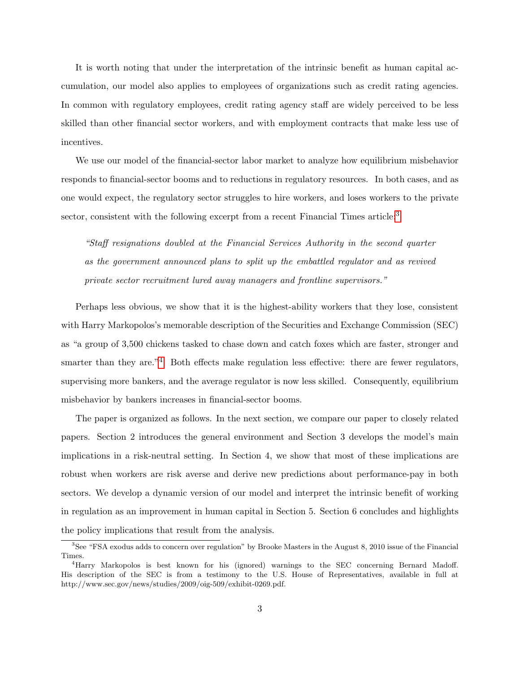It is worth noting that under the interpretation of the intrinsic benefit as human capital accumulation, our model also applies to employees of organizations such as credit rating agencies. In common with regulatory employees, credit rating agency staff are widely perceived to be less skilled than other financial sector workers, and with employment contracts that make less use of incentives.

We use our model of the financial-sector labor market to analyze how equilibrium misbehavior responds to financial-sector booms and to reductions in regulatory resources. In both cases, and as one would expect, the regulatory sector struggles to hire workers, and loses workers to the private sector, consistent with the following excerpt from a recent Financial Times article:<sup>[3](#page-3-0)</sup>

"Staff resignations doubled at the Financial Services Authority in the second quarter as the government announced plans to split up the embattled regulator and as revived private sector recruitment lured away managers and frontline supervisors."

Perhaps less obvious, we show that it is the highest-ability workers that they lose, consistent with Harry Markopolos's memorable description of the Securities and Exchange Commission (SEC) as "a group of 3,500 chickens tasked to chase down and catch foxes which are faster, stronger and smarter than they are."<sup>[4](#page-3-1)</sup> Both effects make regulation less effective: there are fewer regulators, supervising more bankers, and the average regulator is now less skilled. Consequently, equilibrium misbehavior by bankers increases in financial-sector booms.

The paper is organized as follows. In the next section, we compare our paper to closely related papers. Section 2 introduces the general environment and Section 3 develops the model's main implications in a risk-neutral setting. In Section 4, we show that most of these implications are robust when workers are risk averse and derive new predictions about performance-pay in both sectors. We develop a dynamic version of our model and interpret the intrinsic benefit of working in regulation as an improvement in human capital in Section 5. Section 6 concludes and highlights the policy implications that result from the analysis.

<span id="page-3-0"></span><sup>3</sup>See "FSA exodus adds to concern over regulation" by Brooke Masters in the August 8, 2010 issue of the Financial Times.

<span id="page-3-1"></span><sup>4</sup>Harry Markopolos is best known for his (ignored) warnings to the SEC concerning Bernard Madoff. His description of the SEC is from a testimony to the U.S. House of Representatives, available in full at http://www.sec.gov/news/studies/2009/oig-509/exhibit-0269.pdf.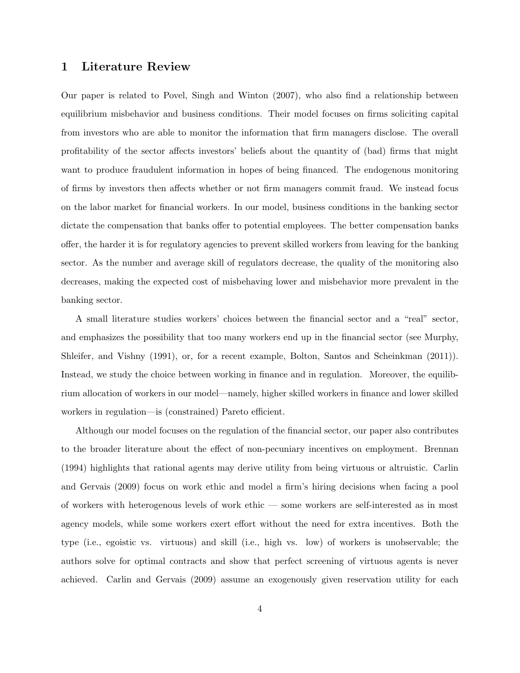# 1 Literature Review

Our paper is related to Povel, Singh and Winton (2007), who also find a relationship between equilibrium misbehavior and business conditions. Their model focuses on firms soliciting capital from investors who are able to monitor the information that firm managers disclose. The overall profitability of the sector affects investors' beliefs about the quantity of (bad) firms that might want to produce fraudulent information in hopes of being financed. The endogenous monitoring of firms by investors then affects whether or not firm managers commit fraud. We instead focus on the labor market for financial workers. In our model, business conditions in the banking sector dictate the compensation that banks offer to potential employees. The better compensation banks offer, the harder it is for regulatory agencies to prevent skilled workers from leaving for the banking sector. As the number and average skill of regulators decrease, the quality of the monitoring also decreases, making the expected cost of misbehaving lower and misbehavior more prevalent in the banking sector.

A small literature studies workers' choices between the financial sector and a "real" sector, and emphasizes the possibility that too many workers end up in the financial sector (see Murphy, Shleifer, and Vishny (1991), or, for a recent example, Bolton, Santos and Scheinkman (2011)). Instead, we study the choice between working in finance and in regulation. Moreover, the equilibrium allocation of workers in our model—namely, higher skilled workers in finance and lower skilled workers in regulation—is (constrained) Pareto efficient.

Although our model focuses on the regulation of the financial sector, our paper also contributes to the broader literature about the effect of non-pecuniary incentives on employment. Brennan (1994) highlights that rational agents may derive utility from being virtuous or altruistic. Carlin and Gervais (2009) focus on work ethic and model a firm's hiring decisions when facing a pool of workers with heterogenous levels of work ethic — some workers are self-interested as in most agency models, while some workers exert effort without the need for extra incentives. Both the type (i.e., egoistic vs. virtuous) and skill (i.e., high vs. low) of workers is unobservable; the authors solve for optimal contracts and show that perfect screening of virtuous agents is never achieved. Carlin and Gervais (2009) assume an exogenously given reservation utility for each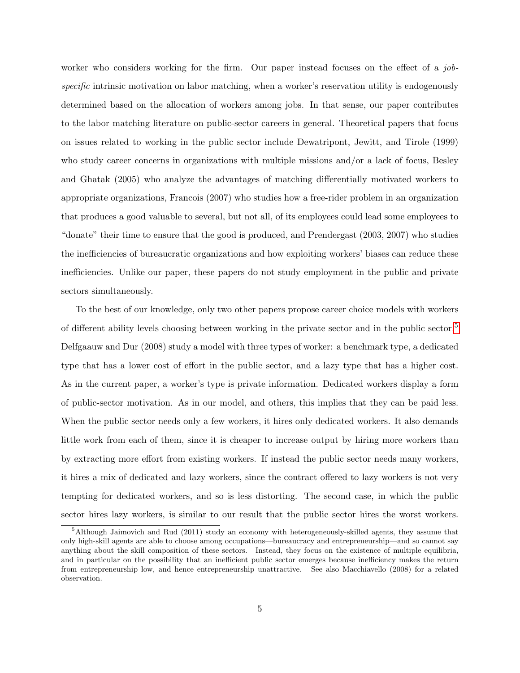worker who considers working for the firm. Our paper instead focuses on the effect of a jobspecific intrinsic motivation on labor matching, when a worker's reservation utility is endogenously determined based on the allocation of workers among jobs. In that sense, our paper contributes to the labor matching literature on public-sector careers in general. Theoretical papers that focus on issues related to working in the public sector include Dewatripont, Jewitt, and Tirole (1999) who study career concerns in organizations with multiple missions and/or a lack of focus, Besley and Ghatak (2005) who analyze the advantages of matching differentially motivated workers to appropriate organizations, Francois (2007) who studies how a free-rider problem in an organization that produces a good valuable to several, but not all, of its employees could lead some employees to "donate" their time to ensure that the good is produced, and Prendergast (2003, 2007) who studies the inefficiencies of bureaucratic organizations and how exploiting workers' biases can reduce these inefficiencies. Unlike our paper, these papers do not study employment in the public and private sectors simultaneously.

To the best of our knowledge, only two other papers propose career choice models with workers of different ability levels choosing between working in the private sector and in the public sector.<sup>[5](#page-5-0)</sup> Delfgaauw and Dur (2008) study a model with three types of worker: a benchmark type, a dedicated type that has a lower cost of effort in the public sector, and a lazy type that has a higher cost. As in the current paper, a worker's type is private information. Dedicated workers display a form of public-sector motivation. As in our model, and others, this implies that they can be paid less. When the public sector needs only a few workers, it hires only dedicated workers. It also demands little work from each of them, since it is cheaper to increase output by hiring more workers than by extracting more effort from existing workers. If instead the public sector needs many workers, it hires a mix of dedicated and lazy workers, since the contract offered to lazy workers is not very tempting for dedicated workers, and so is less distorting. The second case, in which the public sector hires lazy workers, is similar to our result that the public sector hires the worst workers.

<span id="page-5-0"></span><sup>5</sup>Although Jaimovich and Rud (2011) study an economy with heterogeneously-skilled agents, they assume that only high-skill agents are able to choose among occupations—bureaucracy and entrepreneurship—and so cannot say anything about the skill composition of these sectors. Instead, they focus on the existence of multiple equilibria, and in particular on the possibility that an inefficient public sector emerges because inefficiency makes the return from entrepreneurship low, and hence entrepreneurship unattractive. See also Macchiavello (2008) for a related observation.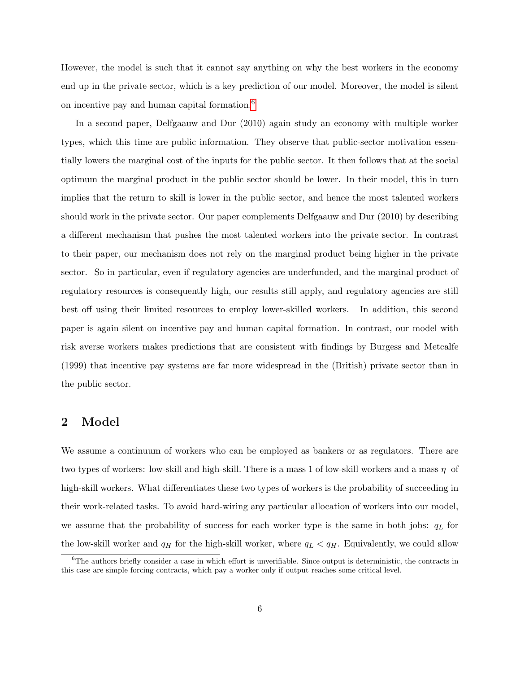However, the model is such that it cannot say anything on why the best workers in the economy end up in the private sector, which is a key prediction of our model. Moreover, the model is silent on incentive pay and human capital formation.[6](#page-6-0)

In a second paper, Delfgaauw and Dur (2010) again study an economy with multiple worker types, which this time are public information. They observe that public-sector motivation essentially lowers the marginal cost of the inputs for the public sector. It then follows that at the social optimum the marginal product in the public sector should be lower. In their model, this in turn implies that the return to skill is lower in the public sector, and hence the most talented workers should work in the private sector. Our paper complements Delfgaauw and Dur (2010) by describing a different mechanism that pushes the most talented workers into the private sector. In contrast to their paper, our mechanism does not rely on the marginal product being higher in the private sector. So in particular, even if regulatory agencies are underfunded, and the marginal product of regulatory resources is consequently high, our results still apply, and regulatory agencies are still best off using their limited resources to employ lower-skilled workers. In addition, this second paper is again silent on incentive pay and human capital formation. In contrast, our model with risk averse workers makes predictions that are consistent with findings by Burgess and Metcalfe (1999) that incentive pay systems are far more widespread in the (British) private sector than in the public sector.

## 2 Model

We assume a continuum of workers who can be employed as bankers or as regulators. There are two types of workers: low-skill and high-skill. There is a mass 1 of low-skill workers and a mass  $\eta$  of high-skill workers. What differentiates these two types of workers is the probability of succeeding in their work-related tasks. To avoid hard-wiring any particular allocation of workers into our model, we assume that the probability of success for each worker type is the same in both jobs:  $q_L$  for the low-skill worker and  $q_H$  for the high-skill worker, where  $q_L < q_H$ . Equivalently, we could allow

<span id="page-6-0"></span> $6$ The authors briefly consider a case in which effort is unverifiable. Since output is deterministic, the contracts in this case are simple forcing contracts, which pay a worker only if output reaches some critical level.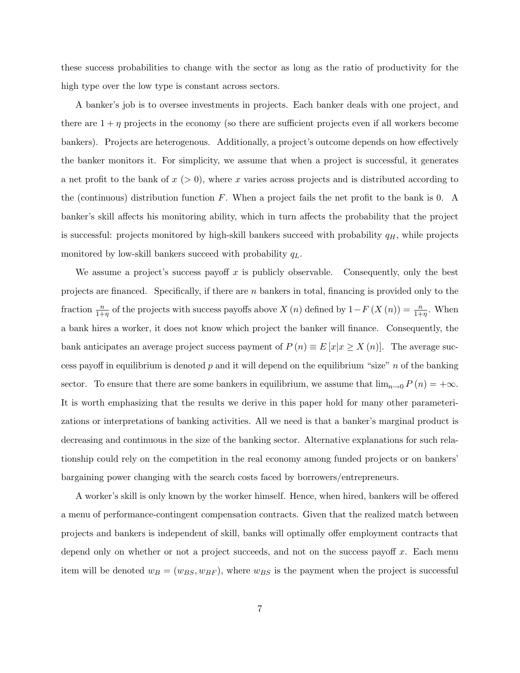these success probabilities to change with the sector as long as the ratio of productivity for the high type over the low type is constant across sectors.

A banker's job is to oversee investments in projects. Each banker deals with one project, and there are  $1 + \eta$  projects in the economy (so there are sufficient projects even if all workers become bankers). Projects are heterogenous. Additionally, a project's outcome depends on how effectively the banker monitors it. For simplicity, we assume that when a project is successful, it generates a net profit to the bank of  $x > 0$ , where x varies across projects and is distributed according to the (continuous) distribution function  $F$ . When a project fails the net profit to the bank is 0. A banker's skill affects his monitoring ability, which in turn affects the probability that the project is successful: projects monitored by high-skill bankers succeed with probability  $q<sub>H</sub>$ , while projects monitored by low-skill bankers succeed with probability  $q_L$ .

We assume a project's success payoff x is publicly observable. Consequently, only the best projects are financed. Specifically, if there are n bankers in total, financing is provided only to the fraction  $\frac{n}{1+\eta}$  of the projects with success payoffs above X (n) defined by  $1-F(X(n))=\frac{n}{1+\eta}$ . When a bank hires a worker, it does not know which project the banker will finance. Consequently, the bank anticipates an average project success payment of  $P(n) \equiv E[x|x \ge X(n)]$ . The average success payoff in equilibrium is denoted  $p$  and it will depend on the equilibrium "size"  $n$  of the banking sector. To ensure that there are some bankers in equilibrium, we assume that  $\lim_{n\to 0} P(n) = +\infty$ . It is worth emphasizing that the results we derive in this paper hold for many other parameterizations or interpretations of banking activities. All we need is that a banker's marginal product is decreasing and continuous in the size of the banking sector. Alternative explanations for such relationship could rely on the competition in the real economy among funded projects or on bankers' bargaining power changing with the search costs faced by borrowers/entrepreneurs.

A worker's skill is only known by the worker himself. Hence, when hired, bankers will be offered a menu of performance-contingent compensation contracts. Given that the realized match between projects and bankers is independent of skill, banks will optimally offer employment contracts that depend only on whether or not a project succeeds, and not on the success payoff  $x$ . Each menu item will be denoted  $w_B = (w_{BS}, w_{BF})$ , where  $w_{BS}$  is the payment when the project is successful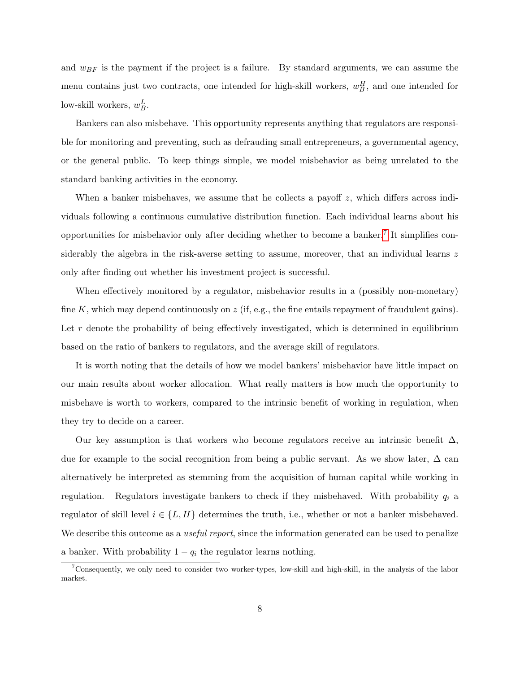and  $w_{BF}$  is the payment if the project is a failure. By standard arguments, we can assume the menu contains just two contracts, one intended for high-skill workers,  $w_B^H$ , and one intended for low-skill workers,  $w_B^L$ .

Bankers can also misbehave. This opportunity represents anything that regulators are responsible for monitoring and preventing, such as defrauding small entrepreneurs, a governmental agency, or the general public. To keep things simple, we model misbehavior as being unrelated to the standard banking activities in the economy.

When a banker misbehaves, we assume that he collects a payoff z, which differs across individuals following a continuous cumulative distribution function. Each individual learns about his opportunities for misbehavior only after deciding whether to become a banker.[7](#page-8-0) It simplifies considerably the algebra in the risk-averse setting to assume, moreover, that an individual learns z only after finding out whether his investment project is successful.

When effectively monitored by a regulator, misbehavior results in a (possibly non-monetary) fine K, which may depend continuously on  $z$  (if, e.g., the fine entails repayment of fraudulent gains). Let  $r$  denote the probability of being effectively investigated, which is determined in equilibrium based on the ratio of bankers to regulators, and the average skill of regulators.

It is worth noting that the details of how we model bankers' misbehavior have little impact on our main results about worker allocation. What really matters is how much the opportunity to misbehave is worth to workers, compared to the intrinsic benefit of working in regulation, when they try to decide on a career.

Our key assumption is that workers who become regulators receive an intrinsic benefit  $\Delta$ , due for example to the social recognition from being a public servant. As we show later,  $\Delta$  can alternatively be interpreted as stemming from the acquisition of human capital while working in regulation. Regulators investigate bankers to check if they misbehaved. With probability  $q_i$  a regulator of skill level  $i \in \{L, H\}$  determines the truth, i.e., whether or not a banker misbehaved. We describe this outcome as a *useful report*, since the information generated can be used to penalize a banker. With probability  $1 - q_i$  the regulator learns nothing.

<span id="page-8-0"></span><sup>7</sup>Consequently, we only need to consider two worker-types, low-skill and high-skill, in the analysis of the labor market.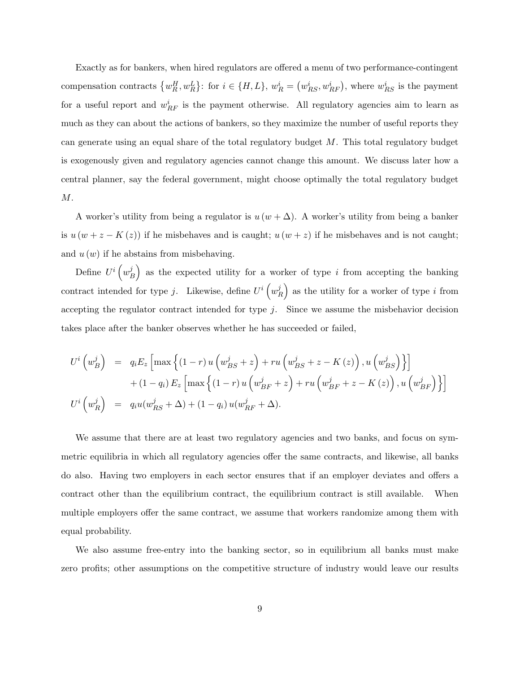Exactly as for bankers, when hired regulators are offered a menu of two performance-contingent compensation contracts  $\{w_R^H, w_R^L\}$ : for  $i \in \{H, L\}$ ,  $w_R^i = (w_{RS}^i, w_{RF}^i)$ , where  $w_{RS}^i$  is the payment for a useful report and  $w_{RF}^{i}$  is the payment otherwise. All regulatory agencies aim to learn as much as they can about the actions of bankers, so they maximize the number of useful reports they can generate using an equal share of the total regulatory budget  $M$ . This total regulatory budget is exogenously given and regulatory agencies cannot change this amount. We discuss later how a central planner, say the federal government, might choose optimally the total regulatory budget  $M$ .

A worker's utility from being a regulator is  $u(w + \Delta)$ . A worker's utility from being a banker is  $u(w + z - K(z))$  if he misbehaves and is caught;  $u(w + z)$  if he misbehaves and is not caught; and  $u(w)$  if he abstains from misbehaving.

Define  $U^i\left(w^j_\mu\right)$  $\begin{pmatrix} j \\ B \end{pmatrix}$  as the expected utility for a worker of type i from accepting the banking contract intended for type j. Likewise, define  $U^i\left(w_i^j\right)$  $\binom{j}{R}$  as the utility for a worker of type i from accepting the regulator contract intended for type  $j$ . Since we assume the misbehavior decision takes place after the banker observes whether he has succeeded or failed,

$$
U^i \left(w_B^j\right) = q_i E_z \left[\max\left\{(1-r) u \left(w_{BS}^j + z\right) + ru \left(w_{BS}^j + z - K\left(z\right)\right), u \left(w_{BS}^j\right)\right\}\right] + (1-q_i) E_z \left[\max\left\{(1-r) u \left(w_{BF}^j + z\right) + ru \left(w_{BF}^j + z - K\left(z\right)\right), u \left(w_{BF}^j\right)\right\}\right] U^i \left(w_R^j\right) = q_i u(w_{RS}^j + \Delta) + (1-q_i) u(w_{RF}^j + \Delta).
$$

We assume that there are at least two regulatory agencies and two banks, and focus on symmetric equilibria in which all regulatory agencies offer the same contracts, and likewise, all banks do also. Having two employers in each sector ensures that if an employer deviates and offers a contract other than the equilibrium contract, the equilibrium contract is still available. When multiple employers offer the same contract, we assume that workers randomize among them with equal probability.

We also assume free-entry into the banking sector, so in equilibrium all banks must make zero profits; other assumptions on the competitive structure of industry would leave our results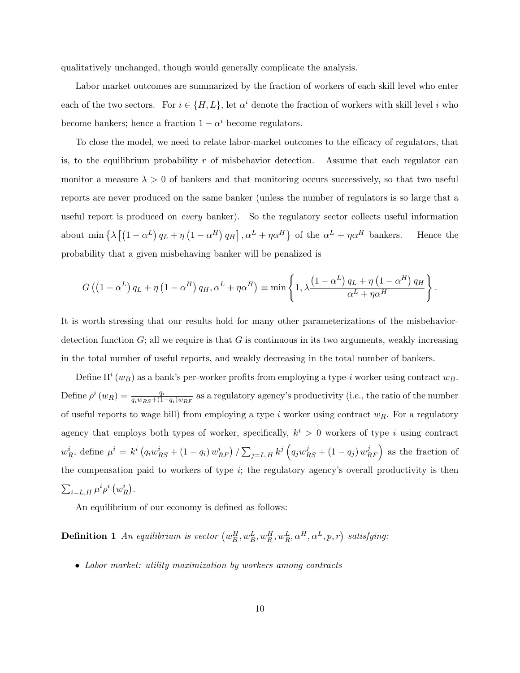qualitatively unchanged, though would generally complicate the analysis.

Labor market outcomes are summarized by the fraction of workers of each skill level who enter each of the two sectors. For  $i \in \{H, L\}$ , let  $\alpha^i$  denote the fraction of workers with skill level i who become bankers; hence a fraction  $1 - \alpha^i$  become regulators.

To close the model, we need to relate labor-market outcomes to the efficacy of regulators, that is, to the equilibrium probability  $r$  of misbehavior detection. Assume that each regulator can monitor a measure  $\lambda > 0$  of bankers and that monitoring occurs successively, so that two useful reports are never produced on the same banker (unless the number of regulators is so large that a useful report is produced on every banker). So the regulatory sector collects useful information about min  $\{\lambda \left[ \left(1-\alpha^L\right) q_L + \eta \left(1-\alpha^H\right) q_H \right], \alpha^L + \eta \alpha^H \}$  of the  $\alpha^L + \eta \alpha^H$  bankers. Hence the probability that a given misbehaving banker will be penalized is

$$
G\left(\left(1-\alpha^L\right)q_L+\eta\left(1-\alpha^H\right)q_H, \alpha^L+\eta\alpha^H\right) \equiv \min\left\{1, \lambda \frac{\left(1-\alpha^L\right)q_L+\eta\left(1-\alpha^H\right)q_H}{\alpha^L+\eta\alpha^H}\right\}.
$$

It is worth stressing that our results hold for many other parameterizations of the misbehaviordetection function  $G$ ; all we require is that  $G$  is continuous in its two arguments, weakly increasing in the total number of useful reports, and weakly decreasing in the total number of bankers.

Define  $\Pi^{i}(w_{B})$  as a bank's per-worker profits from employing a type-i worker using contract  $w_{B}$ . Define  $\rho^i(w_R) = \frac{q_i}{q_i w_{RS} + (1-q_i) w_{RF}}$  as a regulatory agency's productivity (i.e., the ratio of the number of useful reports to wage bill) from employing a type i worker using contract  $w_R$ . For a regulatory agency that employs both types of worker, specifically,  $k^i > 0$  workers of type i using contract  $w_R^i$ , define  $\mu^i = k^i (q_i w_{RS}^i + (1 - q_i) w_{RF}^i) / \sum_{j=L,H} k^j (q_j w_{RS}^j + (1 - q_j) w_{RF}^j)$  as the fraction of the compensation paid to workers of type  $i$ ; the regulatory agency's overall productivity is then  $\sum_{i=L,H}\mu^i\rho^i\left(w^i_R\right).$ 

An equilibrium of our economy is defined as follows:

**Definition 1** An equilibrium is vector  $(w_B^H, w_B^L, w_R^H, w_R^L, \alpha^H, \alpha^L, p, r)$  satisfying:

• Labor market: utility maximization by workers among contracts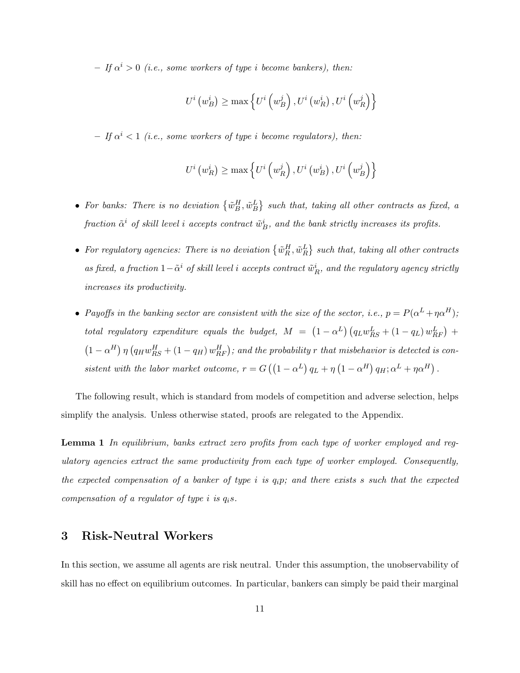$-If \alpha^i > 0$  (i.e., some workers of type i become bankers), then:

$$
U^{i}\left(w_{B}^{i}\right) \ge \max\left\{U^{i}\left(w_{B}^{j}\right),U^{i}\left(w_{R}^{i}\right),U^{i}\left(w_{R}^{j}\right)\right\}
$$

 $-If \alpha^{i} < 1$  (i.e., some workers of type i become regulators), then:

$$
U^{i}\left(w_{R}^{i}\right) \geq \max \left\{U^{i}\left(w_{R}^{j}\right),U^{i}\left(w_{B}^{i}\right),U^{i}\left(w_{B}^{j}\right)\right\}
$$

- For banks: There is no deviation  $\{\tilde{w}_B^H, \tilde{w}_B^L\}$  such that, taking all other contracts as fixed, a fraction  $\tilde{\alpha}^i$  of skill level i accepts contract  $\tilde{w}_B^i$ , and the bank strictly increases its profits.
- For regulatory agencies: There is no deviation  $\{\tilde{w}_R^H, \tilde{w}_R^L\}$  such that, taking all other contracts as fixed, a fraction  $1-\tilde{\alpha}^i$  of skill level i accepts contract  $\tilde{w}_R^i$ , and the regulatory agency strictly increases its productivity.
- Payoffs in the banking sector are consistent with the size of the sector, i.e.,  $p = P(\alpha^L + \eta \alpha^H)$ ; total regulatory expenditure equals the budget,  $M = (1 - \alpha^L) (q_L w_{RS}^L + (1 - q_L) w_{RF}^L) +$  $(1 - \alpha^H) \eta (q_H w_{RS}^H + (1 - q_H) w_{RF}^H)$ ; and the probability r that misbehavior is detected is consistent with the labor market outcome,  $r = G((1 - \alpha^L) q_L + \eta (1 - \alpha^H) q_H; \alpha^L + \eta \alpha^H)$ .

The following result, which is standard from models of competition and adverse selection, helps simplify the analysis. Unless otherwise stated, proofs are relegated to the Appendix.

<span id="page-11-0"></span>Lemma 1 In equilibrium, banks extract zero profits from each type of worker employed and requlatory agencies extract the same productivity from each type of worker employed. Consequently, the expected compensation of a banker of type i is  $q_i p$ ; and there exists s such that the expected compensation of a regulator of type i is  $q_i$ s.

### <span id="page-11-1"></span>3 Risk-Neutral Workers

In this section, we assume all agents are risk neutral. Under this assumption, the unobservability of skill has no effect on equilibrium outcomes. In particular, bankers can simply be paid their marginal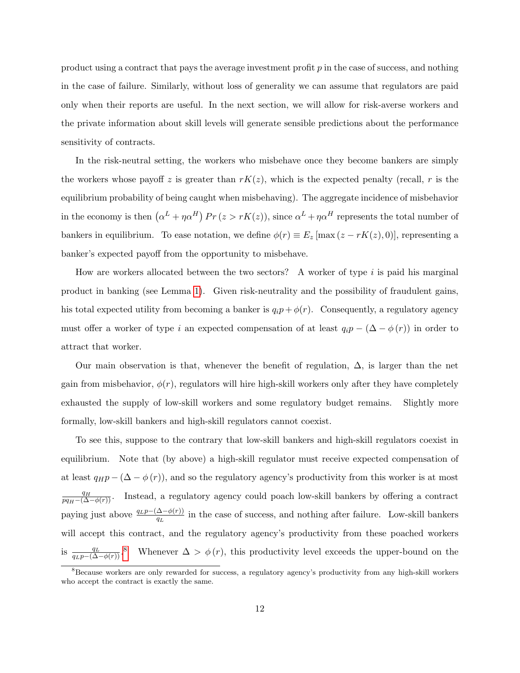product using a contract that pays the average investment profit  $p$  in the case of success, and nothing in the case of failure. Similarly, without loss of generality we can assume that regulators are paid only when their reports are useful. In the next section, we will allow for risk-averse workers and the private information about skill levels will generate sensible predictions about the performance sensitivity of contracts.

In the risk-neutral setting, the workers who misbehave once they become bankers are simply the workers whose payoff z is greater than  $rK(z)$ , which is the expected penalty (recall, r is the equilibrium probability of being caught when misbehaving). The aggregate incidence of misbehavior in the economy is then  $(\alpha^L + \eta \alpha^H) Pr(z > rK(z))$ , since  $\alpha^L + \eta \alpha^H$  represents the total number of bankers in equilibrium. To ease notation, we define  $\phi(r) \equiv E_z \left[ \max (z - rK(z), 0) \right]$ , representing a banker's expected payoff from the opportunity to misbehave.

How are workers allocated between the two sectors? A worker of type  $i$  is paid his marginal product in banking (see Lemma [1\)](#page-11-0). Given risk-neutrality and the possibility of fraudulent gains, his total expected utility from becoming a banker is  $q_i p + \phi(r)$ . Consequently, a regulatory agency must offer a worker of type i an expected compensation of at least  $q_i p - (\Delta - \phi(r))$  in order to attract that worker.

Our main observation is that, whenever the benefit of regulation,  $\Delta$ , is larger than the net gain from misbehavior,  $\phi(r)$ , regulators will hire high-skill workers only after they have completely exhausted the supply of low-skill workers and some regulatory budget remains. Slightly more formally, low-skill bankers and high-skill regulators cannot coexist.

To see this, suppose to the contrary that low-skill bankers and high-skill regulators coexist in equilibrium. Note that (by above) a high-skill regulator must receive expected compensation of at least  $q_H p - (\Delta - \phi(r))$ , and so the regulatory agency's productivity from this worker is at most  $\frac{q_H}{pq_H-(\Delta-\phi(r))}$ . Instead, a regulatory agency could poach low-skill bankers by offering a contract paying just above  $\frac{q_L p - (\Delta - \phi(r))}{q_L}$  in the case of success, and nothing after failure. Low-skill bankers will accept this contract, and the regulatory agency's productivity from these poached workers is  $\frac{q_L}{q_L p - (\Delta - \phi(r))}$ .<sup>[8](#page-12-0)</sup> Whenever  $\Delta > \phi(r)$ , this productivity level exceeds the upper-bound on the

<span id="page-12-0"></span><sup>&</sup>lt;sup>8</sup>Because workers are only rewarded for success, a regulatory agency's productivity from any high-skill workers who accept the contract is exactly the same.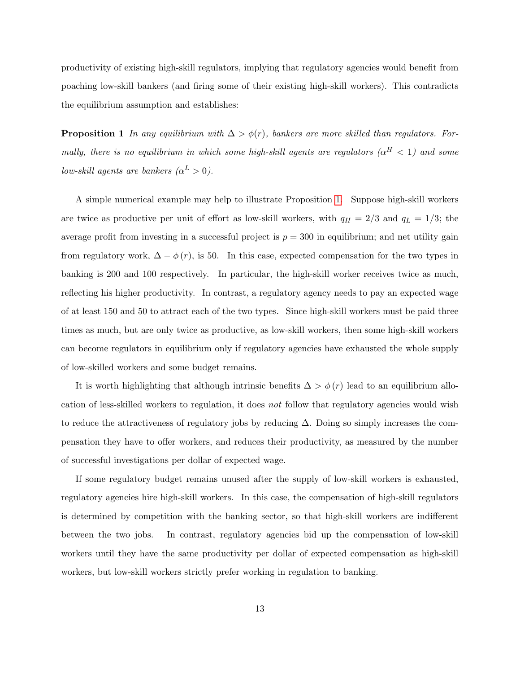productivity of existing high-skill regulators, implying that regulatory agencies would benefit from poaching low-skill bankers (and firing some of their existing high-skill workers). This contradicts the equilibrium assumption and establishes:

<span id="page-13-0"></span>**Proposition 1** In any equilibrium with  $\Delta > \phi(r)$ , bankers are more skilled than regulators. Formally, there is no equilibrium in which some high-skill agents are regulators  $(\alpha^H < 1)$  and some low-skill agents are bankers  $(\alpha^L > 0)$ .

A simple numerical example may help to illustrate Proposition [1.](#page-13-0) Suppose high-skill workers are twice as productive per unit of effort as low-skill workers, with  $q_H = 2/3$  and  $q_L = 1/3$ ; the average profit from investing in a successful project is  $p = 300$  in equilibrium; and net utility gain from regulatory work,  $\Delta - \phi(r)$ , is 50. In this case, expected compensation for the two types in banking is 200 and 100 respectively. In particular, the high-skill worker receives twice as much, reflecting his higher productivity. In contrast, a regulatory agency needs to pay an expected wage of at least 150 and 50 to attract each of the two types. Since high-skill workers must be paid three times as much, but are only twice as productive, as low-skill workers, then some high-skill workers can become regulators in equilibrium only if regulatory agencies have exhausted the whole supply of low-skilled workers and some budget remains.

It is worth highlighting that although intrinsic benefits  $\Delta > \phi(r)$  lead to an equilibrium allocation of less-skilled workers to regulation, it does not follow that regulatory agencies would wish to reduce the attractiveness of regulatory jobs by reducing ∆. Doing so simply increases the compensation they have to offer workers, and reduces their productivity, as measured by the number of successful investigations per dollar of expected wage.

If some regulatory budget remains unused after the supply of low-skill workers is exhausted, regulatory agencies hire high-skill workers. In this case, the compensation of high-skill regulators is determined by competition with the banking sector, so that high-skill workers are indifferent between the two jobs. In contrast, regulatory agencies bid up the compensation of low-skill workers until they have the same productivity per dollar of expected compensation as high-skill workers, but low-skill workers strictly prefer working in regulation to banking.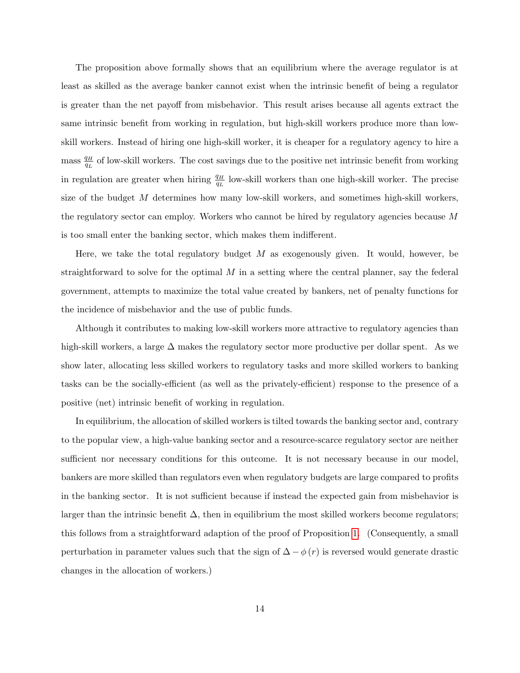The proposition above formally shows that an equilibrium where the average regulator is at least as skilled as the average banker cannot exist when the intrinsic benefit of being a regulator is greater than the net payoff from misbehavior. This result arises because all agents extract the same intrinsic benefit from working in regulation, but high-skill workers produce more than lowskill workers. Instead of hiring one high-skill worker, it is cheaper for a regulatory agency to hire a mass  $\frac{q_H}{q_H}$  $\frac{q_H}{q_L}$  of low-skill workers. The cost savings due to the positive net intrinsic benefit from working in regulation are greater when hiring  $\frac{q_H}{q_L}$  low-skill workers than one high-skill worker. The precise size of the budget M determines how many low-skill workers, and sometimes high-skill workers, the regulatory sector can employ. Workers who cannot be hired by regulatory agencies because M is too small enter the banking sector, which makes them indifferent.

Here, we take the total regulatory budget  $M$  as exogenously given. It would, however, be straightforward to solve for the optimal  $M$  in a setting where the central planner, say the federal government, attempts to maximize the total value created by bankers, net of penalty functions for the incidence of misbehavior and the use of public funds.

Although it contributes to making low-skill workers more attractive to regulatory agencies than high-skill workers, a large  $\Delta$  makes the regulatory sector more productive per dollar spent. As we show later, allocating less skilled workers to regulatory tasks and more skilled workers to banking tasks can be the socially-efficient (as well as the privately-efficient) response to the presence of a positive (net) intrinsic benefit of working in regulation.

In equilibrium, the allocation of skilled workers is tilted towards the banking sector and, contrary to the popular view, a high-value banking sector and a resource-scarce regulatory sector are neither sufficient nor necessary conditions for this outcome. It is not necessary because in our model, bankers are more skilled than regulators even when regulatory budgets are large compared to profits in the banking sector. It is not sufficient because if instead the expected gain from misbehavior is larger than the intrinsic benefit  $\Delta$ , then in equilibrium the most skilled workers become regulators; this follows from a straightforward adaption of the proof of Proposition [1.](#page-13-0) (Consequently, a small perturbation in parameter values such that the sign of  $\Delta - \phi(r)$  is reversed would generate drastic changes in the allocation of workers.)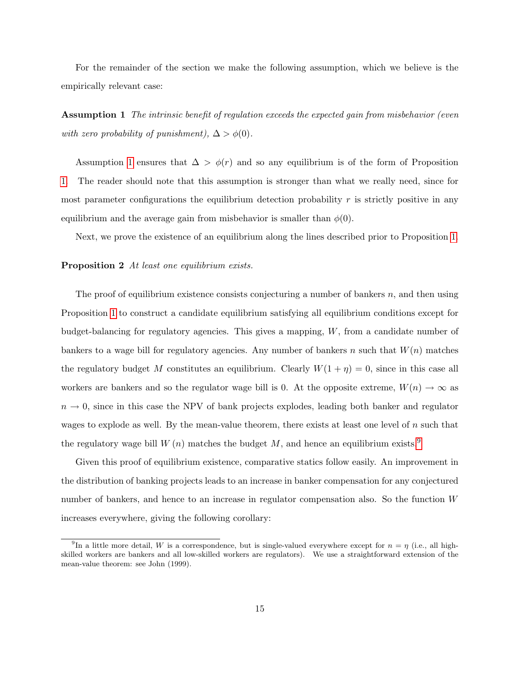For the remainder of the section we make the following assumption, which we believe is the empirically relevant case:

<span id="page-15-0"></span>Assumption 1 The intrinsic benefit of regulation exceeds the expected gain from misbehavior (even with zero probability of punishment),  $\Delta > \phi(0)$ .

Assumption [1](#page-15-0) ensures that  $\Delta > \phi(r)$  and so any equilibrium is of the form of Proposition [1.](#page-13-0) The reader should note that this assumption is stronger than what we really need, since for most parameter configurations the equilibrium detection probability  $r$  is strictly positive in any equilibrium and the average gain from misbehavior is smaller than  $\phi(0)$ .

<span id="page-15-3"></span>Next, we prove the existence of an equilibrium along the lines described prior to Proposition [1.](#page-13-0)

#### Proposition 2 At least one equilibrium exists.

The proof of equilibrium existence consists conjecturing a number of bankers  $n$ , and then using Proposition [1](#page-13-0) to construct a candidate equilibrium satisfying all equilibrium conditions except for budget-balancing for regulatory agencies. This gives a mapping,  $W$ , from a candidate number of bankers to a wage bill for regulatory agencies. Any number of bankers n such that  $W(n)$  matches the regulatory budget M constitutes an equilibrium. Clearly  $W(1 + \eta) = 0$ , since in this case all workers are bankers and so the regulator wage bill is 0. At the opposite extreme,  $W(n) \to \infty$  as  $n \to 0$ , since in this case the NPV of bank projects explodes, leading both banker and regulator wages to explode as well. By the mean-value theorem, there exists at least one level of  $n$  such that the regulatory wage bill  $W(n)$  matches the budget M, and hence an equilibrium exists.<sup>[9](#page-15-1)</sup>

Given this proof of equilibrium existence, comparative statics follow easily. An improvement in the distribution of banking projects leads to an increase in banker compensation for any conjectured number of bankers, and hence to an increase in regulator compensation also. So the function W increases everywhere, giving the following corollary:

<span id="page-15-2"></span><span id="page-15-1"></span><sup>&</sup>lt;sup>9</sup>In a little more detail, W is a correspondence, but is single-valued everywhere except for  $n = \eta$  (i.e., all highskilled workers are bankers and all low-skilled workers are regulators). We use a straightforward extension of the mean-value theorem: see John (1999).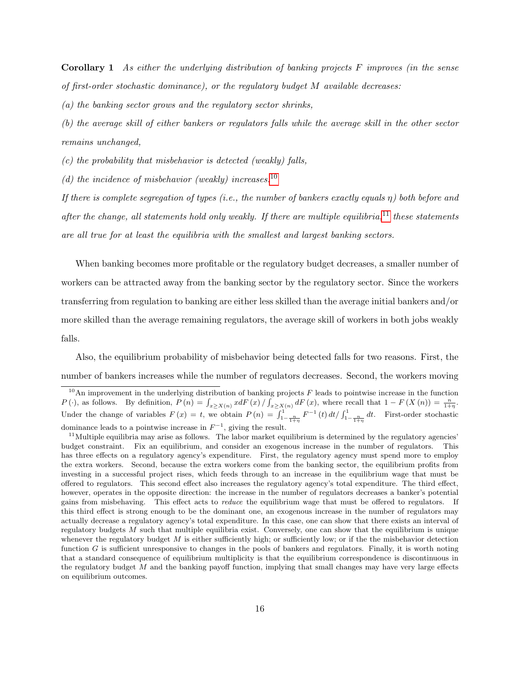**Corollary 1** As either the underlying distribution of banking projects  $F$  improves (in the sense of first-order stochastic dominance), or the regulatory budget M available decreases:

 $(a)$  the banking sector grows and the regulatory sector shrinks,

(b) the average skill of either bankers or regulators falls while the average skill in the other sector remains unchanged,

 $(c)$  the probability that misbehavior is detected (weakly) falls,

(d) the incidence of misbehavior (weakly) increases.<sup>[10](#page-16-0)</sup>

If there is complete segregation of types (i.e., the number of bankers exactly equals  $\eta$ ) both before and after the change, all statements hold only weakly. If there are multiple equilibria,  $11$  these statements are all true for at least the equilibria with the smallest and largest banking sectors.

When banking becomes more profitable or the regulatory budget decreases, a smaller number of workers can be attracted away from the banking sector by the regulatory sector. Since the workers transferring from regulation to banking are either less skilled than the average initial bankers and/or more skilled than the average remaining regulators, the average skill of workers in both jobs weakly falls.

Also, the equilibrium probability of misbehavior being detected falls for two reasons. First, the number of bankers increases while the number of regulators decreases. Second, the workers moving

<span id="page-16-0"></span> $10$ An improvement in the underlying distribution of banking projects F leads to pointwise increase in the function  $P(\cdot)$ , as follows. By definition,  $P(n) = \int_{x \geq X(n)} x dF(x) / \int_{x \geq X(n)} dF(x)$ , where recall that  $1 - F(X(n)) = \frac{n}{1+n}$ . Under the change of variables  $F(x) = t$ , we obtain  $P(n) = \int_{1-\frac{n}{1+\eta}}^{1} F^{-1}(t) dt / \int_{1-\frac{n}{1+\eta}}^{1} dt$ . First-order stochastic dominance leads to a pointwise increase in  $F^{-1}$ , giving the result.

<span id="page-16-1"></span> $11$ Multiple equilibria may arise as follows. The labor market equilibrium is determined by the regulatory agencies' budget constraint. Fix an equilibrium, and consider an exogenous increase in the number of regulators. This has three effects on a regulatory agency's expenditure. First, the regulatory agency must spend more to employ the extra workers. Second, because the extra workers come from the banking sector, the equilibrium profits from investing in a successful project rises, which feeds through to an increase in the equilibrium wage that must be offered to regulators. This second effect also increases the regulatory agency's total expenditure. The third effect, however, operates in the opposite direction: the increase in the number of regulators decreases a banker's potential gains from misbehaving. This effect acts to reduce the equilibrium wage that must be offered to regulators. If this third effect is strong enough to be the dominant one, an exogenous increase in the number of regulators may actually decrease a regulatory agency's total expenditure. In this case, one can show that there exists an interval of regulatory budgets  $M$  such that multiple equilibria exist. Conversely, one can show that the equilibrium is unique whenever the regulatory budget  $M$  is either sufficiently high; or sufficiently low; or if the the misbehavior detection function G is sufficient unresponsive to changes in the pools of bankers and regulators. Finally, it is worth noting that a standard consequence of equilibrium multiplicity is that the equilibrium correspondence is discontinuous in the regulatory budget  $M$  and the banking payoff function, implying that small changes may have very large effects on equilibrium outcomes.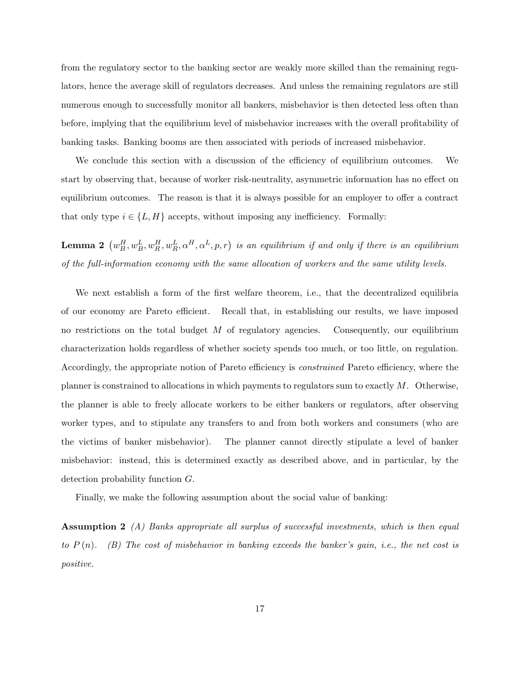from the regulatory sector to the banking sector are weakly more skilled than the remaining regulators, hence the average skill of regulators decreases. And unless the remaining regulators are still numerous enough to successfully monitor all bankers, misbehavior is then detected less often than before, implying that the equilibrium level of misbehavior increases with the overall profitability of banking tasks. Banking booms are then associated with periods of increased misbehavior.

We conclude this section with a discussion of the efficiency of equilibrium outcomes. We start by observing that, because of worker risk-neutrality, asymmetric information has no effect on equilibrium outcomes. The reason is that it is always possible for an employer to offer a contract that only type  $i \in \{L, H\}$  accepts, without imposing any inefficiency. Formally:

<span id="page-17-0"></span>**Lemma 2**  $(w_B^H, w_B^L, w_R^H, \alpha^H, \alpha^L, p, r)$  is an equilibrium if and only if there is an equilibrium of the full-information economy with the same allocation of workers and the same utility levels.

We next establish a form of the first welfare theorem, i.e., that the decentralized equilibria of our economy are Pareto efficient. Recall that, in establishing our results, we have imposed no restrictions on the total budget  $M$  of regulatory agencies. Consequently, our equilibrium characterization holds regardless of whether society spends too much, or too little, on regulation. Accordingly, the appropriate notion of Pareto efficiency is constrained Pareto efficiency, where the planner is constrained to allocations in which payments to regulators sum to exactly  $M$ . Otherwise, the planner is able to freely allocate workers to be either bankers or regulators, after observing worker types, and to stipulate any transfers to and from both workers and consumers (who are the victims of banker misbehavior). The planner cannot directly stipulate a level of banker misbehavior: instead, this is determined exactly as described above, and in particular, by the detection probability function G.

Finally, we make the following assumption about the social value of banking:

Assumption 2 (A) Banks appropriate all surplus of successful investments, which is then equal to  $P(n)$ . (B) The cost of misbehavior in banking exceeds the banker's gain, i.e., the net cost is positive.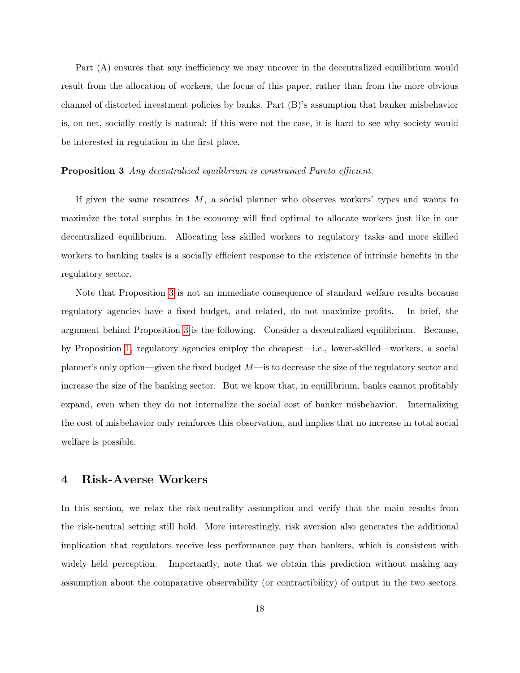Part (A) ensures that any inefficiency we may uncover in the decentralized equilibrium would result from the allocation of workers, the focus of this paper, rather than from the more obvious channel of distorted investment policies by banks. Part (B)'s assumption that banker misbehavior is, on net, socially costly is natural: if this were not the case, it is hard to see why society would be interested in regulation in the first place.

#### <span id="page-18-0"></span>**Proposition 3** Any decentralized equilibrium is constrained Pareto efficient.

If given the same resources  $M$ , a social planner who observes workers' types and wants to maximize the total surplus in the economy will find optimal to allocate workers just like in our decentralized equilibrium. Allocating less skilled workers to regulatory tasks and more skilled workers to banking tasks is a socially efficient response to the existence of intrinsic benefits in the regulatory sector.

Note that Proposition [3](#page-18-0) is not an immediate consequence of standard welfare results because regulatory agencies have a fixed budget, and related, do not maximize profits. In brief, the argument behind Proposition [3](#page-18-0) is the following. Consider a decentralized equilibrium. Because, by Proposition [1,](#page-13-0) regulatory agencies employ the cheapest—i.e., lower-skilled—workers, a social planner's only option—given the fixed budget  $M$ —is to decrease the size of the regulatory sector and increase the size of the banking sector. But we know that, in equilibrium, banks cannot profitably expand, even when they do not internalize the social cost of banker misbehavior. Internalizing the cost of misbehavior only reinforces this observation, and implies that no increase in total social welfare is possible.

### 4 Risk-Averse Workers

In this section, we relax the risk-neutrality assumption and verify that the main results from the risk-neutral setting still hold. More interestingly, risk aversion also generates the additional implication that regulators receive less performance pay than bankers, which is consistent with widely held perception. Importantly, note that we obtain this prediction without making any assumption about the comparative observability (or contractibility) of output in the two sectors.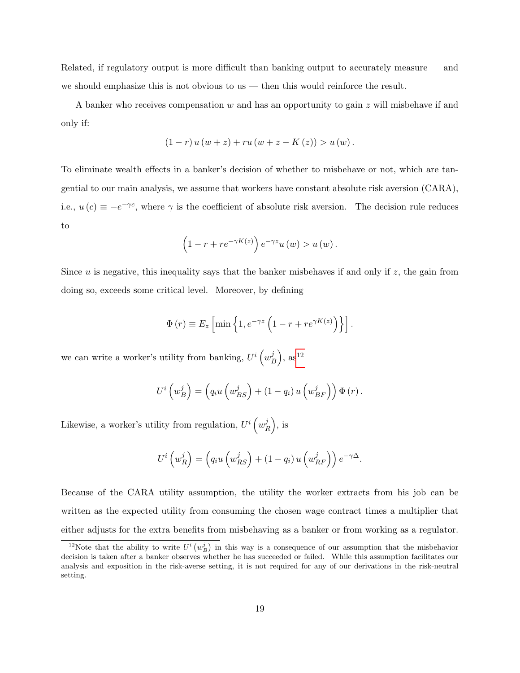Related, if regulatory output is more difficult than banking output to accurately measure — and we should emphasize this is not obvious to us — then this would reinforce the result.

A banker who receives compensation w and has an opportunity to gain z will misbehave if and only if:

$$
(1 - r) u (w + z) + ru (w + z - K (z)) > u (w).
$$

To eliminate wealth effects in a banker's decision of whether to misbehave or not, which are tangential to our main analysis, we assume that workers have constant absolute risk aversion (CARA), i.e.,  $u(c) \equiv -e^{-\gamma c}$ , where  $\gamma$  is the coefficient of absolute risk aversion. The decision rule reduces to

$$
\left(1 - r + re^{-\gamma K(z)}\right)e^{-\gamma z}u(w) > u(w).
$$

Since u is negative, this inequality says that the banker misbehaves if and only if  $z$ , the gain from doing so, exceeds some critical level. Moreover, by defining

$$
\Phi(r) \equiv E_z \left[ \min \left\{ 1, e^{-\gamma z} \left( 1 - r + r e^{\gamma K(z)} \right) \right\} \right].
$$

we can write a worker's utility from banking,  $U^i\left(w_i^j\right)$  $\binom{j}{B}$ , as<sup>[12](#page-19-0)</sup>

$$
U^i \left( w_B^j \right) = \left( q_i u \left( w_{BS}^j \right) + \left( 1 - q_i \right) u \left( w_{BF}^j \right) \right) \Phi \left( r \right).
$$

Likewise, a worker's utility from regulation,  $U^i\left(w^j_\mu\right)$  $_{R}^{j}\Big),\,\mathrm{is}% \,\,\left( 2\,\lambda_{0}\right) \equiv\sum_{k=0}^{L}\left( \lambda_{0}\,\left\vert \lambda_{0}\right\vert \right) ^{k}\left( \lambda_{0}\right) ^{k}\left( \lambda_{0}\right) ^{k}\left( \lambda_{0}\right) ^{k}\left( \lambda_{0}\right) ^{k}\left( \lambda_{0}\right) ^{k}\left( \lambda_{0}\right) ^{k}\left( \lambda_{0}\right) ^{k}\left( \lambda_{0}\right) ^{k}\left( \lambda_{0}\right) ^{k}\left( \lambda_{0}\right) ^{k}\left( \lambda_{0}\right) ^{k}\left( \lambda_{0}\right) ^$ 

$$
U^{i}\left(w_{R}^{j}\right)=\left(q_{i}u\left(w_{RS}^{j}\right)+(1-q_{i})u\left(w_{RF}^{j}\right)\right)e^{-\gamma\Delta}.
$$

Because of the CARA utility assumption, the utility the worker extracts from his job can be written as the expected utility from consuming the chosen wage contract times a multiplier that either adjusts for the extra benefits from misbehaving as a banker or from working as a regulator.

<span id="page-19-0"></span><sup>&</sup>lt;sup>12</sup>Note that the ability to write  $U^i(w_B^j)$  in this way is a consequence of our assumption that the misbehavior decision is taken after a banker observes whether he has succeeded or failed. While this assumption facilitates our analysis and exposition in the risk-averse setting, it is not required for any of our derivations in the risk-neutral setting.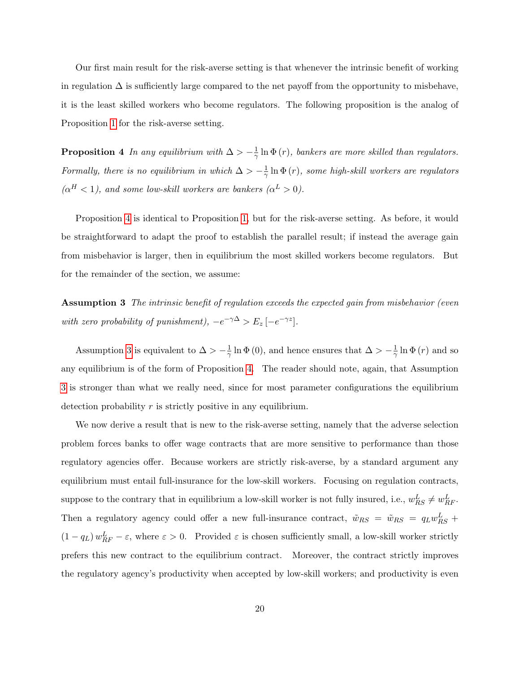Our first main result for the risk-averse setting is that whenever the intrinsic benefit of working in regulation  $\Delta$  is sufficiently large compared to the net payoff from the opportunity to misbehave, it is the least skilled workers who become regulators. The following proposition is the analog of Proposition [1](#page-13-0) for the risk-averse setting.

<span id="page-20-0"></span>**Proposition** 4 In any equilibrium with  $\Delta > -\frac{1}{\gamma}$  $\frac{1}{\gamma} \ln \Phi(r)$ , bankers are more skilled than regulators. Formally, there is no equilibrium in which  $\Delta > -\frac{1}{\gamma}$  $\frac{1}{\gamma}\ln\Phi\left(r\right)$ , some high-skill workers are regulators  $(\alpha^H < 1)$ , and some low-skill workers are bankers  $(\alpha^L > 0)$ .

Proposition [4](#page-20-0) is identical to Proposition [1,](#page-13-0) but for the risk-averse setting. As before, it would be straightforward to adapt the proof to establish the parallel result; if instead the average gain from misbehavior is larger, then in equilibrium the most skilled workers become regulators. But for the remainder of the section, we assume:

<span id="page-20-1"></span>Assumption 3 The intrinsic benefit of regulation exceeds the expected gain from misbehavior (even with zero probability of punishment),  $-e^{-\gamma \Delta} > E_z \left[ -e^{-\gamma z} \right]$ .

Assumption [3](#page-20-1) is equivalent to  $\Delta > -\frac{1}{\gamma}$  $\frac{1}{\gamma} \ln \Phi(0)$ , and hence ensures that  $\Delta > -\frac{1}{\gamma}$  $\frac{1}{\gamma} \ln \Phi(r)$  and so any equilibrium is of the form of Proposition [4.](#page-20-0) The reader should note, again, that Assumption [3](#page-20-1) is stronger than what we really need, since for most parameter configurations the equilibrium detection probability r is strictly positive in any equilibrium.

We now derive a result that is new to the risk-averse setting, namely that the adverse selection problem forces banks to offer wage contracts that are more sensitive to performance than those regulatory agencies offer. Because workers are strictly risk-averse, by a standard argument any equilibrium must entail full-insurance for the low-skill workers. Focusing on regulation contracts, suppose to the contrary that in equilibrium a low-skill worker is not fully insured, i.e.,  $w_{RS}^L \neq w_{RF}^L$ . Then a regulatory agency could offer a new full-insurance contract,  $\tilde{w}_{RS} = \tilde{w}_{RS} = q_L w_{RS}^L +$  $(1 - q_L) w_{RF}^L - \varepsilon$ , where  $\varepsilon > 0$ . Provided  $\varepsilon$  is chosen sufficiently small, a low-skill worker strictly prefers this new contract to the equilibrium contract. Moreover, the contract strictly improves the regulatory agency's productivity when accepted by low-skill workers; and productivity is even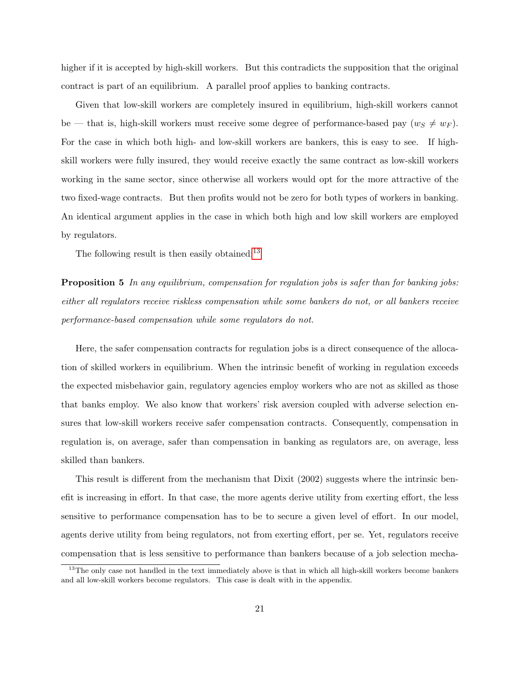higher if it is accepted by high-skill workers. But this contradicts the supposition that the original contract is part of an equilibrium. A parallel proof applies to banking contracts.

Given that low-skill workers are completely insured in equilibrium, high-skill workers cannot be — that is, high-skill workers must receive some degree of performance-based pay  $(w_S \neq w_F)$ . For the case in which both high- and low-skill workers are bankers, this is easy to see. If highskill workers were fully insured, they would receive exactly the same contract as low-skill workers working in the same sector, since otherwise all workers would opt for the more attractive of the two fixed-wage contracts. But then profits would not be zero for both types of workers in banking. An identical argument applies in the case in which both high and low skill workers are employed by regulators.

<span id="page-21-1"></span>The following result is then easily obtained:<sup>[13](#page-21-0)</sup>

**Proposition 5** In any equilibrium, compensation for regulation jobs is safer than for banking jobs: either all regulators receive riskless compensation while some bankers do not, or all bankers receive performance-based compensation while some regulators do not.

Here, the safer compensation contracts for regulation jobs is a direct consequence of the allocation of skilled workers in equilibrium. When the intrinsic benefit of working in regulation exceeds the expected misbehavior gain, regulatory agencies employ workers who are not as skilled as those that banks employ. We also know that workers' risk aversion coupled with adverse selection ensures that low-skill workers receive safer compensation contracts. Consequently, compensation in regulation is, on average, safer than compensation in banking as regulators are, on average, less skilled than bankers.

This result is different from the mechanism that Dixit (2002) suggests where the intrinsic benefit is increasing in effort. In that case, the more agents derive utility from exerting effort, the less sensitive to performance compensation has to be to secure a given level of effort. In our model, agents derive utility from being regulators, not from exerting effort, per se. Yet, regulators receive compensation that is less sensitive to performance than bankers because of a job selection mecha-

<span id="page-21-0"></span><sup>&</sup>lt;sup>13</sup>The only case not handled in the text immediately above is that in which all high-skill workers become bankers and all low-skill workers become regulators. This case is dealt with in the appendix.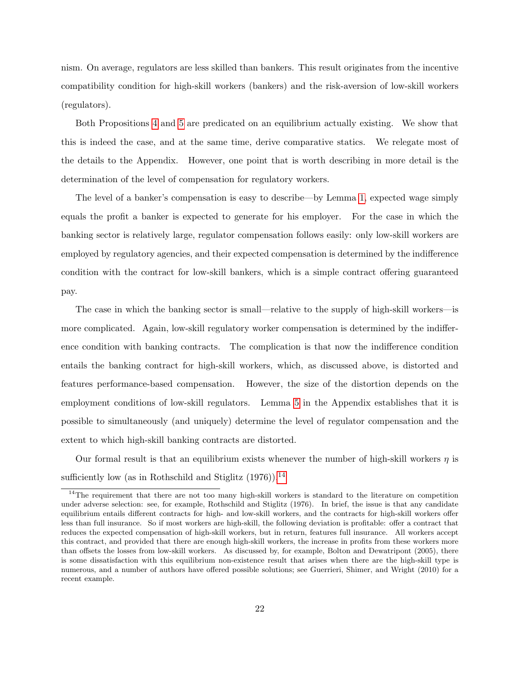nism. On average, regulators are less skilled than bankers. This result originates from the incentive compatibility condition for high-skill workers (bankers) and the risk-aversion of low-skill workers (regulators).

Both Propositions [4](#page-20-0) and [5](#page-21-1) are predicated on an equilibrium actually existing. We show that this is indeed the case, and at the same time, derive comparative statics. We relegate most of the details to the Appendix. However, one point that is worth describing in more detail is the determination of the level of compensation for regulatory workers.

The level of a banker's compensation is easy to describe—by Lemma [1,](#page-11-0) expected wage simply equals the profit a banker is expected to generate for his employer. For the case in which the banking sector is relatively large, regulator compensation follows easily: only low-skill workers are employed by regulatory agencies, and their expected compensation is determined by the indifference condition with the contract for low-skill bankers, which is a simple contract offering guaranteed pay.

The case in which the banking sector is small—relative to the supply of high-skill workers—is more complicated. Again, low-skill regulatory worker compensation is determined by the indifference condition with banking contracts. The complication is that now the indifference condition entails the banking contract for high-skill workers, which, as discussed above, is distorted and features performance-based compensation. However, the size of the distortion depends on the employment conditions of low-skill regulators. Lemma [5](#page-30-0) in the Appendix establishes that it is possible to simultaneously (and uniquely) determine the level of regulator compensation and the extent to which high-skill banking contracts are distorted.

Our formal result is that an equilibrium exists whenever the number of high-skill workers  $\eta$  is sufficiently low (as in Rothschild and Stiglitz  $(1976)$ ).<sup>[14](#page-22-0)</sup>

<span id="page-22-1"></span><span id="page-22-0"></span><sup>&</sup>lt;sup>14</sup>The requirement that there are not too many high-skill workers is standard to the literature on competition under adverse selection: see, for example, Rothschild and Stiglitz (1976). In brief, the issue is that any candidate equilibrium entails different contracts for high- and low-skill workers, and the contracts for high-skill workers offer less than full insurance. So if most workers are high-skill, the following deviation is profitable: offer a contract that reduces the expected compensation of high-skill workers, but in return, features full insurance. All workers accept this contract, and provided that there are enough high-skill workers, the increase in profits from these workers more than offsets the losses from low-skill workers. As discussed by, for example, Bolton and Dewatripont (2005), there is some dissatisfaction with this equilibrium non-existence result that arises when there are the high-skill type is numerous, and a number of authors have offered possible solutions; see Guerrieri, Shimer, and Wright (2010) for a recent example.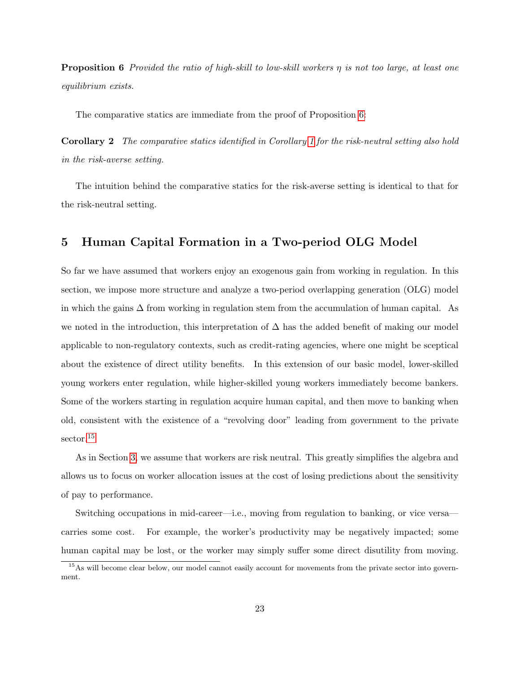**Proposition 6** Provided the ratio of high-skill to low-skill workers  $\eta$  is not too large, at least one equilibrium exists.

The comparative statics are immediate from the proof of Proposition [6:](#page-22-1)

Corollary 2 The comparative statics identified in Corollary [1](#page-15-2) for the risk-neutral setting also hold in the risk-averse setting.

The intuition behind the comparative statics for the risk-averse setting is identical to that for the risk-neutral setting.

# <span id="page-23-0"></span>5 Human Capital Formation in a Two-period OLG Model

So far we have assumed that workers enjoy an exogenous gain from working in regulation. In this section, we impose more structure and analyze a two-period overlapping generation (OLG) model in which the gains ∆ from working in regulation stem from the accumulation of human capital. As we noted in the introduction, this interpretation of  $\Delta$  has the added benefit of making our model applicable to non-regulatory contexts, such as credit-rating agencies, where one might be sceptical about the existence of direct utility benefits. In this extension of our basic model, lower-skilled young workers enter regulation, while higher-skilled young workers immediately become bankers. Some of the workers starting in regulation acquire human capital, and then move to banking when old, consistent with the existence of a "revolving door" leading from government to the private sector.<sup>[15](#page-23-1)</sup>

As in Section [3,](#page-11-1) we assume that workers are risk neutral. This greatly simplifies the algebra and allows us to focus on worker allocation issues at the cost of losing predictions about the sensitivity of pay to performance.

Switching occupations in mid-career—i.e., moving from regulation to banking, or vice versa carries some cost. For example, the worker's productivity may be negatively impacted; some human capital may be lost, or the worker may simply suffer some direct disutility from moving.

<span id="page-23-1"></span><sup>&</sup>lt;sup>15</sup>As will become clear below, our model cannot easily account for movements from the private sector into government.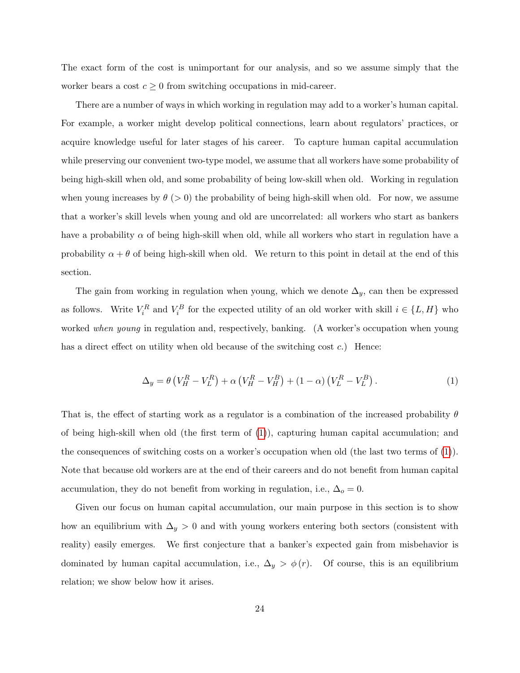The exact form of the cost is unimportant for our analysis, and so we assume simply that the worker bears a cost  $c \geq 0$  from switching occupations in mid-career.

There are a number of ways in which working in regulation may add to a worker's human capital. For example, a worker might develop political connections, learn about regulators' practices, or acquire knowledge useful for later stages of his career. To capture human capital accumulation while preserving our convenient two-type model, we assume that all workers have some probability of being high-skill when old, and some probability of being low-skill when old. Working in regulation when young increases by  $\theta$  (> 0) the probability of being high-skill when old. For now, we assume that a worker's skill levels when young and old are uncorrelated: all workers who start as bankers have a probability  $\alpha$  of being high-skill when old, while all workers who start in regulation have a probability  $\alpha + \theta$  of being high-skill when old. We return to this point in detail at the end of this section.

The gain from working in regulation when young, which we denote  $\Delta_y$ , can then be expressed as follows. Write  $V_i^R$  and  $V_i^B$  for the expected utility of an old worker with skill  $i \in \{L, H\}$  who worked when young in regulation and, respectively, banking. (A worker's occupation when young has a direct effect on utility when old because of the switching cost  $c$ .) Hence:

<span id="page-24-0"></span>
$$
\Delta_y = \theta \left( V_H^R - V_L^R \right) + \alpha \left( V_H^R - V_H^B \right) + (1 - \alpha) \left( V_L^R - V_L^B \right). \tag{1}
$$

That is, the effect of starting work as a regulator is a combination of the increased probability  $\theta$ of being high-skill when old (the first term of [\(1\)](#page-24-0)), capturing human capital accumulation; and the consequences of switching costs on a worker's occupation when old (the last two terms of [\(1\)](#page-24-0)). Note that because old workers are at the end of their careers and do not benefit from human capital accumulation, they do not benefit from working in regulation, i.e.,  $\Delta_o = 0$ .

Given our focus on human capital accumulation, our main purpose in this section is to show how an equilibrium with  $\Delta_y > 0$  and with young workers entering both sectors (consistent with reality) easily emerges. We first conjecture that a banker's expected gain from misbehavior is dominated by human capital accumulation, i.e.,  $\Delta_y > \phi(r)$ . Of course, this is an equilibrium relation; we show below how it arises.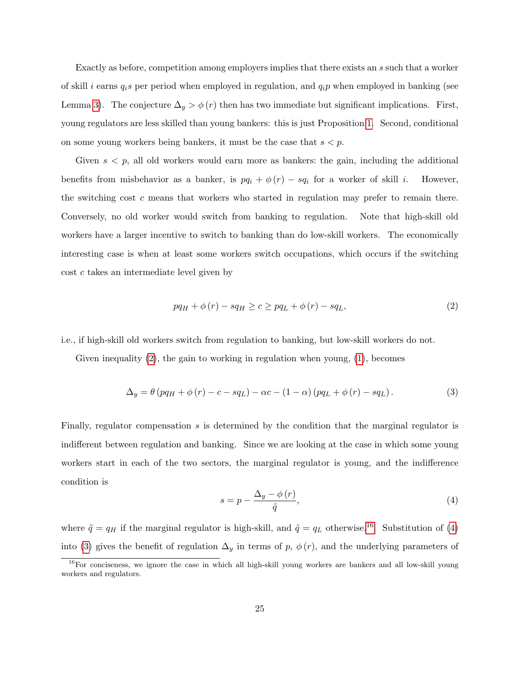Exactly as before, competition among employers implies that there exists an s such that a worker of skill i earns  $q_i$ s per period when employed in regulation, and  $q_i p$  when employed in banking (see Lemma [3\)](#page-11-1). The conjecture  $\Delta_y > \phi(r)$  then has two immediate but significant implications. First, young regulators are less skilled than young bankers: this is just Proposition [1.](#page-13-0) Second, conditional on some young workers being bankers, it must be the case that  $s < p$ .

Given  $s < p$ , all old workers would earn more as bankers: the gain, including the additional benefits from misbehavior as a banker, is  $pq_i + \phi(r) - sq_i$  for a worker of skill *i*. However, the switching cost c means that workers who started in regulation may prefer to remain there. Conversely, no old worker would switch from banking to regulation. Note that high-skill old workers have a larger incentive to switch to banking than do low-skill workers. The economically interesting case is when at least some workers switch occupations, which occurs if the switching cost c takes an intermediate level given by

<span id="page-25-0"></span>
$$
pq_H + \phi(r) - sq_H \ge c \ge pq_L + \phi(r) - sq_L,\tag{2}
$$

i.e., if high-skill old workers switch from regulation to banking, but low-skill workers do not.

Given inequality [\(2\)](#page-25-0), the gain to working in regulation when young, [\(1\)](#page-24-0), becomes

<span id="page-25-3"></span>
$$
\Delta_y = \theta (pq_H + \phi (r) - c - sq_L) - \alpha c - (1 - \alpha) (pq_L + \phi (r) - sq_L). \tag{3}
$$

Finally, regulator compensation s is determined by the condition that the marginal regulator is indifferent between regulation and banking. Since we are looking at the case in which some young workers start in each of the two sectors, the marginal regulator is young, and the indifference condition is

<span id="page-25-2"></span>
$$
s = p - \frac{\Delta_y - \phi(r)}{\tilde{q}},\tag{4}
$$

where  $\tilde{q} = q_H$  if the marginal regulator is high-skill, and  $\tilde{q} = q_L$  otherwise.<sup>[16](#page-25-1)</sup> Substitution of [\(4\)](#page-25-2) into [\(3\)](#page-25-3) gives the benefit of regulation  $\Delta_y$  in terms of p,  $\phi(r)$ , and the underlying parameters of

<span id="page-25-1"></span><sup>&</sup>lt;sup>16</sup>For conciseness, we ignore the case in which all high-skill young workers are bankers and all low-skill young workers and regulators.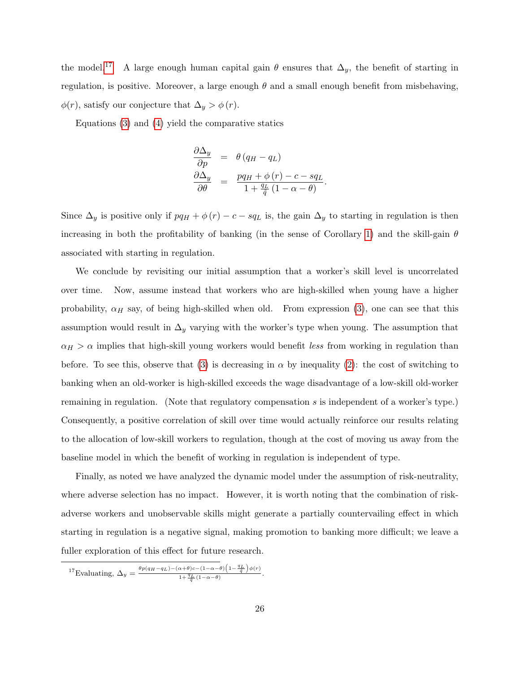the model.<sup>[17](#page-26-0)</sup> A large enough human capital gain  $\theta$  ensures that  $\Delta_y$ , the benefit of starting in regulation, is positive. Moreover, a large enough  $\theta$  and a small enough benefit from misbehaving,  $\phi(r)$ , satisfy our conjecture that  $\Delta_y > \phi(r)$ .

Equations [\(3\)](#page-25-3) and [\(4\)](#page-25-2) yield the comparative statics

$$
\begin{array}{rcl}\n\frac{\partial \Delta_y}{\partial p} & = & \theta (q_H - q_L) \\
\frac{\partial \Delta_y}{\partial \theta} & = & \frac{pq_H + \phi(r) - c - sq_L}{1 + \frac{q_L}{\tilde{q}} \left(1 - \alpha - \theta\right)}\n\end{array}
$$

.

Since  $\Delta_y$  is positive only if  $pq_H + \phi(r) - c - sq_L$  is, the gain  $\Delta_y$  to starting in regulation is then increasing in both the profitability of banking (in the sense of Corollary [1\)](#page-15-2) and the skill-gain  $\theta$ associated with starting in regulation.

We conclude by revisiting our initial assumption that a worker's skill level is uncorrelated over time. Now, assume instead that workers who are high-skilled when young have a higher probability,  $\alpha_H$  say, of being high-skilled when old. From expression [\(3\)](#page-25-3), one can see that this assumption would result in  $\Delta_y$  varying with the worker's type when young. The assumption that  $\alpha_H > \alpha$  implies that high-skill young workers would benefit less from working in regulation than before. To see this, observe that [\(3\)](#page-25-3) is decreasing in  $\alpha$  by inequality [\(2\)](#page-25-0): the cost of switching to banking when an old-worker is high-skilled exceeds the wage disadvantage of a low-skill old-worker remaining in regulation. (Note that regulatory compensation s is independent of a worker's type.) Consequently, a positive correlation of skill over time would actually reinforce our results relating to the allocation of low-skill workers to regulation, though at the cost of moving us away from the baseline model in which the benefit of working in regulation is independent of type.

Finally, as noted we have analyzed the dynamic model under the assumption of risk-neutrality, where adverse selection has no impact. However, it is worth noting that the combination of riskadverse workers and unobservable skills might generate a partially countervailing effect in which starting in regulation is a negative signal, making promotion to banking more difficult; we leave a fuller exploration of this effect for future research.

<span id="page-26-0"></span><sup>&</sup>lt;sup>17</sup>Evaluating,  $\Delta_y = \frac{\theta p (q_H - q_L) - (\alpha + \theta)c - (1 - \alpha - \theta) (1 - \frac{q_L}{\tilde{q}}) \phi(r)}{1 + \frac{q_L}{\tilde{q}} (1 - \alpha - \theta)}.$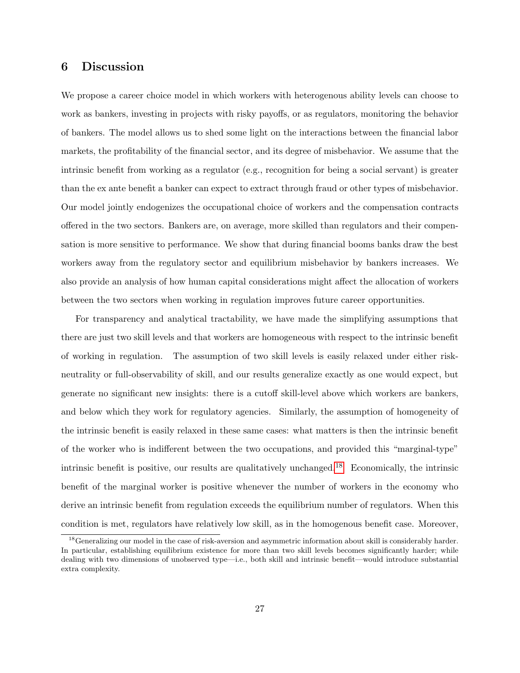## 6 Discussion

We propose a career choice model in which workers with heterogenous ability levels can choose to work as bankers, investing in projects with risky payoffs, or as regulators, monitoring the behavior of bankers. The model allows us to shed some light on the interactions between the financial labor markets, the profitability of the financial sector, and its degree of misbehavior. We assume that the intrinsic benefit from working as a regulator (e.g., recognition for being a social servant) is greater than the ex ante benefit a banker can expect to extract through fraud or other types of misbehavior. Our model jointly endogenizes the occupational choice of workers and the compensation contracts offered in the two sectors. Bankers are, on average, more skilled than regulators and their compensation is more sensitive to performance. We show that during financial booms banks draw the best workers away from the regulatory sector and equilibrium misbehavior by bankers increases. We also provide an analysis of how human capital considerations might affect the allocation of workers between the two sectors when working in regulation improves future career opportunities.

For transparency and analytical tractability, we have made the simplifying assumptions that there are just two skill levels and that workers are homogeneous with respect to the intrinsic benefit of working in regulation. The assumption of two skill levels is easily relaxed under either riskneutrality or full-observability of skill, and our results generalize exactly as one would expect, but generate no significant new insights: there is a cutoff skill-level above which workers are bankers, and below which they work for regulatory agencies. Similarly, the assumption of homogeneity of the intrinsic benefit is easily relaxed in these same cases: what matters is then the intrinsic benefit of the worker who is indifferent between the two occupations, and provided this "marginal-type" intrinsic benefit is positive, our results are qualitatively unchanged.<sup>[18](#page-27-0)</sup> Economically, the intrinsic benefit of the marginal worker is positive whenever the number of workers in the economy who derive an intrinsic benefit from regulation exceeds the equilibrium number of regulators. When this condition is met, regulators have relatively low skill, as in the homogenous benefit case. Moreover,

<span id="page-27-0"></span><sup>&</sup>lt;sup>18</sup>Generalizing our model in the case of risk-aversion and asymmetric information about skill is considerably harder. In particular, establishing equilibrium existence for more than two skill levels becomes significantly harder; while dealing with two dimensions of unobserved type—i.e., both skill and intrinsic benefit—would introduce substantial extra complexity.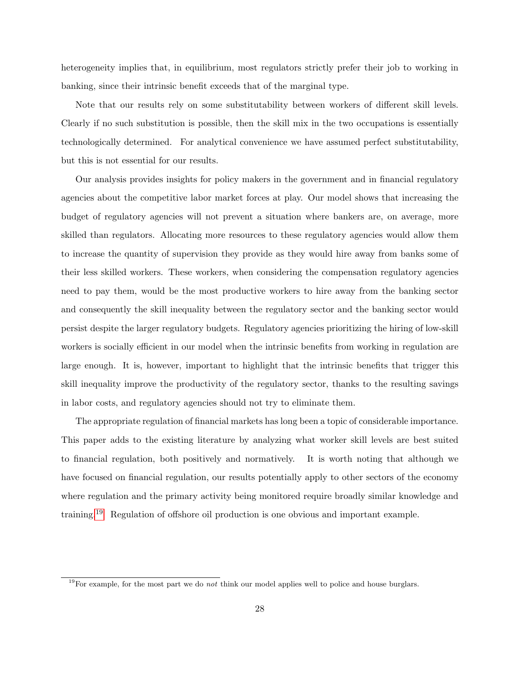heterogeneity implies that, in equilibrium, most regulators strictly prefer their job to working in banking, since their intrinsic benefit exceeds that of the marginal type.

Note that our results rely on some substitutability between workers of different skill levels. Clearly if no such substitution is possible, then the skill mix in the two occupations is essentially technologically determined. For analytical convenience we have assumed perfect substitutability, but this is not essential for our results.

Our analysis provides insights for policy makers in the government and in financial regulatory agencies about the competitive labor market forces at play. Our model shows that increasing the budget of regulatory agencies will not prevent a situation where bankers are, on average, more skilled than regulators. Allocating more resources to these regulatory agencies would allow them to increase the quantity of supervision they provide as they would hire away from banks some of their less skilled workers. These workers, when considering the compensation regulatory agencies need to pay them, would be the most productive workers to hire away from the banking sector and consequently the skill inequality between the regulatory sector and the banking sector would persist despite the larger regulatory budgets. Regulatory agencies prioritizing the hiring of low-skill workers is socially efficient in our model when the intrinsic benefits from working in regulation are large enough. It is, however, important to highlight that the intrinsic benefits that trigger this skill inequality improve the productivity of the regulatory sector, thanks to the resulting savings in labor costs, and regulatory agencies should not try to eliminate them.

The appropriate regulation of financial markets has long been a topic of considerable importance. This paper adds to the existing literature by analyzing what worker skill levels are best suited to financial regulation, both positively and normatively. It is worth noting that although we have focused on financial regulation, our results potentially apply to other sectors of the economy where regulation and the primary activity being monitored require broadly similar knowledge and training.[19](#page-28-0) Regulation of offshore oil production is one obvious and important example.

<span id="page-28-0"></span><sup>&</sup>lt;sup>19</sup>For example, for the most part we do *not* think our model applies well to police and house burglars.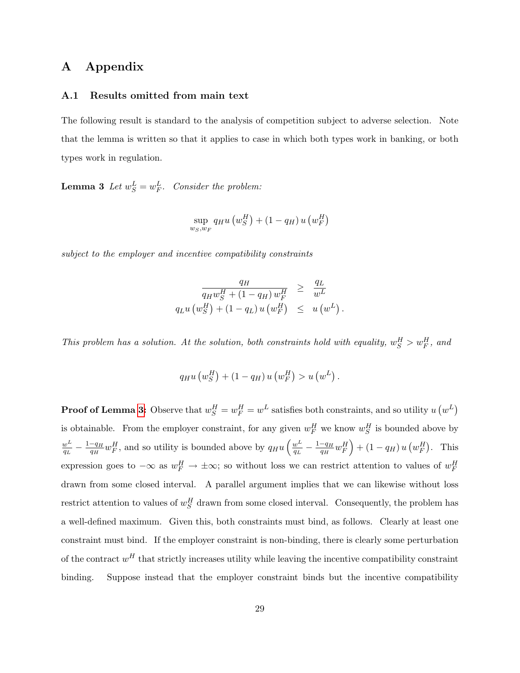# A Appendix

#### A.1 Results omitted from main text

The following result is standard to the analysis of competition subject to adverse selection. Note that the lemma is written so that it applies to case in which both types work in banking, or both types work in regulation.

<span id="page-29-0"></span>**Lemma 3** Let  $w_S^L = w_F^L$ . Consider the problem:

$$
\sup_{w_S, w_F} q_H u\left(w_S^H\right) + \left(1 - q_H\right) u\left(w_F^H\right)
$$

subject to the employer and incentive compatibility constraints

$$
\frac{q_H}{q_H w_S^H + (1 - q_H) w_F^H} \geq \frac{q_L}{w^L}
$$
  
 
$$
q_L u \left( w_S^H \right) + (1 - q_L) u \left( w_F^H \right) \leq u \left( w^L \right).
$$

This problem has a solution. At the solution, both constraints hold with equality,  $w_S^H > w_F^H$ , and

$$
q_{H}u\left(w_{S}^{H}\right)+\left(1-q_{H}\right)u\left(w_{F}^{H}\right)>u\left(w^{L}\right).
$$

**Proof of Lemma [3:](#page-29-0)** Observe that  $w_S^H = w_F^H = w^L$  satisfies both constraints, and so utility  $u(w^L)$ is obtainable. From the employer constraint, for any given  $w_F^H$  we know  $w_S^H$  is bounded above by  $w^L$  $\frac{w^L}{q_L} - \frac{1-q_H}{q_H}$  $\frac{-q_H}{q_H} w_F^H$ , and so utility is bounded above by  $q_H u \left(\frac{w^L}{q_L}\right)$  $\frac{w^L}{q_L} - \frac{1-q_H}{q_H}$  $\left(\frac{-q_H}{q_H}w_F^H\right) + (1-q_H) u \left(w_F^H\right)$ . This expression goes to  $-\infty$  as  $w_F^H \to \pm \infty$ ; so without loss we can restrict attention to values of  $w_F^H$ drawn from some closed interval. A parallel argument implies that we can likewise without loss restrict attention to values of  $w_S^H$  drawn from some closed interval. Consequently, the problem has a well-defined maximum. Given this, both constraints must bind, as follows. Clearly at least one constraint must bind. If the employer constraint is non-binding, there is clearly some perturbation of the contract  $w^H$  that strictly increases utility while leaving the incentive compatibility constraint binding. Suppose instead that the employer constraint binds but the incentive compatibility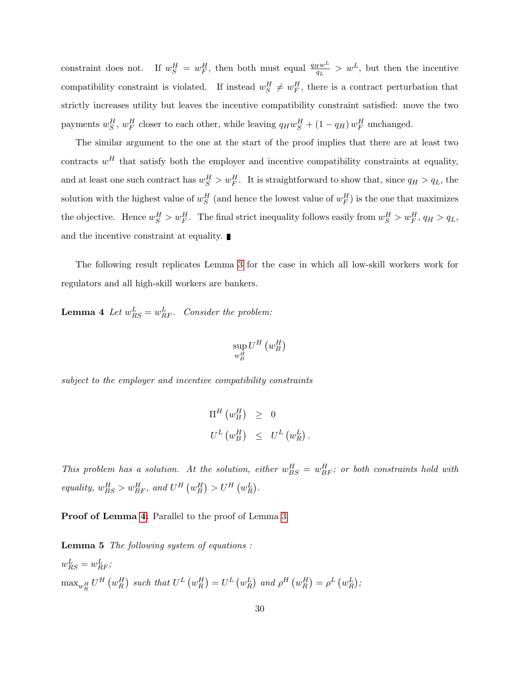constraint does not. If  $w_S^H = w_F^H$ , then both must equal  $\frac{q_H w^L}{q_L} > w^L$ , but then the incentive compatibility constraint is violated. If instead  $w_S^H \neq w_F^H$ , there is a contract perturbation that strictly increases utility but leaves the incentive compatibility constraint satisfied: move the two payments  $w_S^H$ ,  $w_F^H$  closer to each other, while leaving  $q_H w_S^H + (1 - q_H) w_F^H$  unchanged.

The similar argument to the one at the start of the proof implies that there are at least two contracts  $w<sup>H</sup>$  that satisfy both the employer and incentive compatibility constraints at equality, and at least one such contract has  $w_S^H > w_F^H$ . It is straightforward to show that, since  $q_H > q_L$ , the solution with the highest value of  $w_S^H$  (and hence the lowest value of  $w_F^H$ ) is the one that maximizes the objective. Hence  $w_S^H > w_F^H$ . The final strict inequality follows easily from  $w_S^H > w_F^H$ ,  $q_H > q_L$ , and the incentive constraint at equality.

The following result replicates Lemma [3](#page-29-0) for the case in which all low-skill workers work for regulators and all high-skill workers are bankers.

<span id="page-30-1"></span>**Lemma 4** Let  $w_{RS}^L = w_{RF}^L$ . Consider the problem:

$$
\sup_{w_B^H} U^H \left(w_B^H\right)
$$

subject to the employer and incentive compatibility constraints

$$
\Pi^H (w_B^H) \geq 0
$$
  

$$
U^L (w_B^H) \leq U^L (w_R^L).
$$

This problem has a solution. At the solution, either  $w_{BS}^H = w_{BF}^H$ ; or both constraints hold with equality,  $w_{BS}^H > w_{BF}^H$ , and  $U^H(w_B^H) > U^H(w_R^L)$ .

<span id="page-30-0"></span>Proof of Lemma [4:](#page-30-1) Parallel to the proof of Lemma [3.](#page-29-0)

Lemma 5 The following system of equations :  $w_{RS}^L = w_{RF}^L;$  $\max_{w_R^H} U^H (w_R^H)$  such that  $U^L (w_R^H) = U^L (w_R^L)$  and  $\rho^H (w_R^H) = \rho^L (w_R^L)$ ;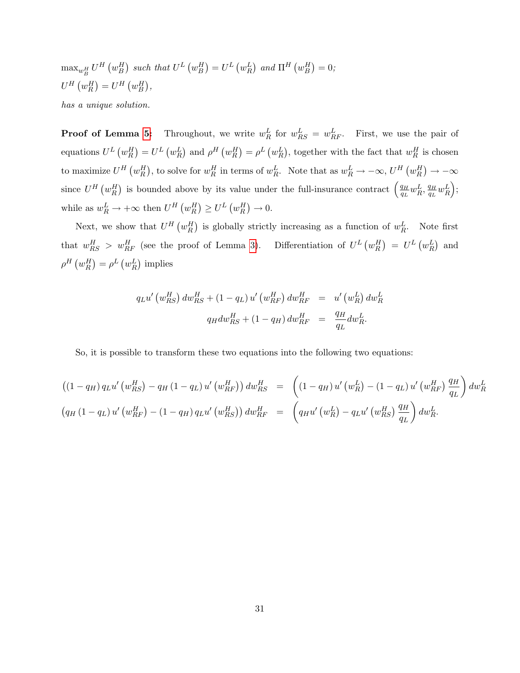$\max_{w_B^H} U^H \left(w_B^H\right)$  such that  $U^L \left(w_B^H\right) = U^L \left(w_R^L\right)$  and  $\Pi^H \left(w_B^H\right) = 0$ ;  $U^H (w_R^H) = U^H (w_B^H),$ 

has a unique solution.

**Proof of Lemma [5:](#page-30-0)** Throughout, we write  $w_R^L$  for  $w_{RS}^L = w_{RF}^L$ . First, we use the pair of equations  $U^L(w_R^H) = U^L(w_R^L)$  and  $\rho^H(w_R^H) = \rho^L(w_R^L)$ , together with the fact that  $w_R^H$  is chosen to maximize  $U^H(w_R^H)$ , to solve for  $w_R^H$  in terms of  $w_R^L$ . Note that as  $w_R^L \to -\infty$ ,  $U^H(w_R^H) \to -\infty$ since  $U^H(w_R^H)$  is bounded above by its value under the full-insurance contract  $\left(\frac{q_H}{q_L}\right)$  $\frac{q_H}{q_L} w_R^L, \frac{q_H}{q_L}$  $\left. \frac{q_H}{q_L} w_R^L \right);$ while as  $w_R^L \to +\infty$  then  $U^H(w_R^H) \geq U^L(w_R^H) \to 0$ .

Next, we show that  $U^H(w_R^H)$  is globally strictly increasing as a function of  $w_R^L$ . Note first that  $w_{RS}^H > w_{RF}^H$  (see the proof of Lemma [3\)](#page-29-0). Differentiation of  $U^L(w_R^H) = U^L(w_R^L)$  and  $\rho^H(w_R^H) = \rho^L(w_R^L)$  implies

$$
q_L u' \left( w_{RS}^H \right) dw_{RS}^H + \left( 1 - q_L \right) u' \left( w_{RF}^H \right) dw_{RF}^H = u' \left( w_R^L \right) dw_R^H
$$
  

$$
q_H dw_{RS}^H + \left( 1 - q_H \right) dw_{RF}^H = \frac{q_H}{q_L} dw_R^L.
$$

So, it is possible to transform these two equations into the following two equations:

$$
\left((1-q_H) q_L u' \left(w_{RS}^H\right) - q_H \left(1-q_L\right) u' \left(w_{RF}^H\right)\right) dw_{RS}^H = \left((1-q_H) u' \left(w_R^L\right) - (1-q_L) u' \left(w_{RF}^H\right) \frac{q_H}{q_L}\right) dw_R^H
$$
\n
$$
\left(q_H \left(1-q_L\right) u' \left(w_{RF}^H\right) - (1-q_H) q_L u' \left(w_{RS}^H\right)\right) dw_{RF}^H = \left(q_H u' \left(w_R^L\right) - q_L u' \left(w_{RS}^H\right) \frac{q_H}{q_L}\right) dw_R^L.
$$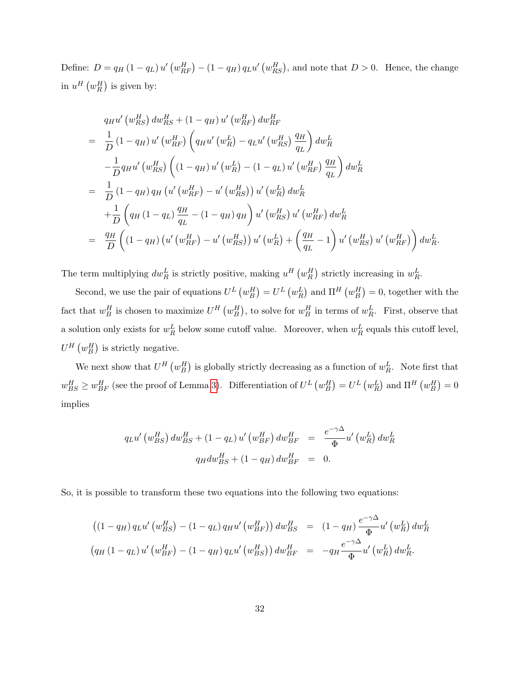Define:  $D = q_H (1 - q_L) u' (w_{RF}^H) - (1 - q_H) q_L u' (w_{RS}^H)$ , and note that  $D > 0$ . Hence, the change in  $u^H(w^H_R)$  is given by:

$$
q_{H}u'(w_{RS}^{H}) dw_{RS}^{H} + (1 - q_{H}) u'(w_{RF}^{H}) dw_{RF}^{H}
$$
\n
$$
= \frac{1}{D} (1 - q_{H}) u'(w_{RF}^{H}) \left( q_{H}u'(w_{R}^{L}) - q_{L}u'(w_{RS}^{H}) \frac{q_{H}}{q_{L}} \right) dw_{R}^{L}
$$
\n
$$
- \frac{1}{D} q_{H}u'(w_{RS}^{H}) \left( (1 - q_{H}) u'(w_{R}^{L}) - (1 - q_{L}) u'(w_{RF}^{H}) \frac{q_{H}}{q_{L}} \right) dw_{R}^{L}
$$
\n
$$
= \frac{1}{D} (1 - q_{H}) q_{H} (u'(w_{RF}^{H}) - u'(w_{RS}^{H})) u'(w_{R}^{L}) dw_{R}^{L}
$$
\n
$$
+ \frac{1}{D} \left( q_{H} (1 - q_{L}) \frac{q_{H}}{q_{L}} - (1 - q_{H}) q_{H} \right) u'(w_{RS}^{H}) u'(w_{RF}^{H}) dw_{R}^{L}
$$
\n
$$
= \frac{q_{H}}{D} \left( (1 - q_{H}) (u'(w_{RF}^{H}) - u'(w_{RS}^{H})) u'(w_{R}^{L}) + \left( \frac{q_{H}}{q_{L}} - 1 \right) u'(w_{RS}^{H}) u'(w_{RF}^{H}) \right) dw_{R}^{L}.
$$

The term multiplying  $dw_R^L$  is strictly positive, making  $u^H(w_R^H)$  strictly increasing in  $w_R^L$ .

Second, we use the pair of equations  $U^L(w_B^H) = U^L(w_R^L)$  and  $\Pi^H(w_B^H) = 0$ , together with the fact that  $w_B^H$  is chosen to maximize  $U^H(w_B^H)$ , to solve for  $w_B^H$  in terms of  $w_R^L$ . First, observe that a solution only exists for  $w_R^L$  below some cutoff value. Moreover, when  $w_R^L$  equals this cutoff level,  $U^H(w_B^H)$  is strictly negative.

We next show that  $U^H(w_B^H)$  is globally strictly decreasing as a function of  $w_R^L$ . Note first that  $w_{BS}^H \geq w_{BF}^H$  (see the proof of Lemma [3\)](#page-29-0). Differentiation of  $U^L(w_B^H) = U^L(w_R^L)$  and  $\Pi^H(w_B^H) = 0$ implies

$$
q_L u' \left( w_{BS}^H \right) dw_{BS}^H + (1 - q_L) u' \left( w_{BF}^H \right) dw_{BF}^H = \frac{e^{-\gamma \Delta}}{\Phi} u' \left( w_R^L \right) dw_R^H
$$

$$
q_H dw_{BS}^H + (1 - q_H) dw_{BF}^H = 0.
$$

So, it is possible to transform these two equations into the following two equations:

$$
\left((1-q_H) q_L u' \left(w_{BS}^H\right) - (1-q_L) q_H u' \left(w_{BF}^H\right)\right) dw_{BS}^H = (1-q_H) \frac{e^{-\gamma \Delta}}{\Phi} u' \left(w_R^L\right) dw_R^L
$$
  

$$
\left(q_H \left(1-q_L\right) u' \left(w_{BF}^H\right) - (1-q_H) q_L u' \left(w_{BS}^H\right)\right) dw_{BF}^H = -q_H \frac{e^{-\gamma \Delta}}{\Phi} u' \left(w_R^L\right) dw_R^L.
$$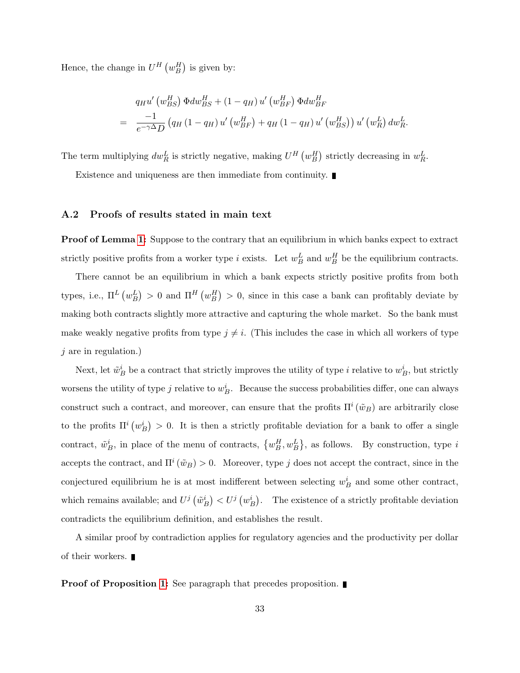Hence, the change in  $U^H(w_B^H)$  is given by:

$$
q_H u' \left(w_{BS}^H\right) \Phi dw_{BS}^H + \left(1 - q_H\right) u' \left(w_{BF}^H\right) \Phi dw_{BF}^H
$$
  
= 
$$
\frac{-1}{e^{-\gamma \Delta} D} \left(q_H \left(1 - q_H\right) u' \left(w_{BF}^H\right) + q_H \left(1 - q_H\right) u' \left(w_{BS}^H\right)\right) u' \left(w_R^L\right) dw_R^L.
$$

The term multiplying  $dw_R^L$  is strictly negative, making  $U^H(w_B^H)$  strictly decreasing in  $w_R^L$ .

Existence and uniqueness are then immediate from continuity.

#### A.2 Proofs of results stated in main text

**Proof of Lemma [1:](#page-11-0)** Suppose to the contrary that an equilibrium in which banks expect to extract strictly positive profits from a worker type *i* exists. Let  $w_B^L$  and  $w_B^H$  be the equilibrium contracts.

There cannot be an equilibrium in which a bank expects strictly positive profits from both types, i.e.,  $\Pi^L(w_B^L) > 0$  and  $\Pi^H(w_B^H) > 0$ , since in this case a bank can profitably deviate by making both contracts slightly more attractive and capturing the whole market. So the bank must make weakly negative profits from type  $j \neq i$ . (This includes the case in which all workers of type  $j$  are in regulation.)

Next, let  $\tilde{w}_B^i$  be a contract that strictly improves the utility of type i relative to  $w_B^i$ , but strictly worsens the utility of type j relative to  $w_B^i$ . Because the success probabilities differ, one can always construct such a contract, and moreover, can ensure that the profits  $\Pi^i(\tilde{w}_B)$  are arbitrarily close to the profits  $\Pi^{i}(w_{B}^{i}) > 0$ . It is then a strictly profitable deviation for a bank to offer a single contract,  $\tilde{w}_B^i$ , in place of the menu of contracts,  $\{w_B^H, w_B^L\}$ , as follows. By construction, type i accepts the contract, and  $\Pi^i(\tilde{w}_B) > 0$ . Moreover, type j does not accept the contract, since in the conjectured equilibrium he is at most indifferent between selecting  $w_B^i$  and some other contract, which remains available; and  $U^j(\tilde{w}_B^i) < U^j(w_B^i)$ . The existence of a strictly profitable deviation contradicts the equilibrium definition, and establishes the result.

A similar proof by contradiction applies for regulatory agencies and the productivity per dollar of their workers.

**Proof of Proposition [1:](#page-13-0)** See paragraph that precedes proposition.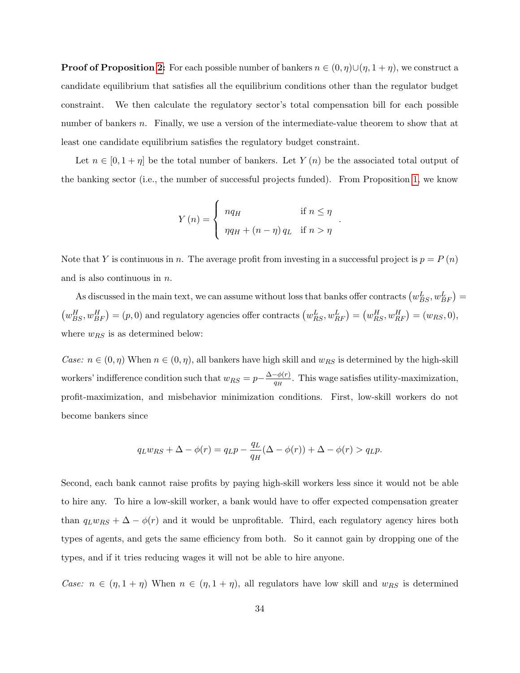**Proof of Proposition [2:](#page-15-3)** For each possible number of bankers  $n \in (0, \eta) \cup (\eta, 1 + \eta)$ , we construct a candidate equilibrium that satisfies all the equilibrium conditions other than the regulator budget constraint. We then calculate the regulatory sector's total compensation bill for each possible number of bankers n. Finally, we use a version of the intermediate-value theorem to show that at least one candidate equilibrium satisfies the regulatory budget constraint.

Let  $n \in [0, 1 + \eta]$  be the total number of bankers. Let  $Y(n)$  be the associated total output of the banking sector (i.e., the number of successful projects funded). From Proposition [1,](#page-13-0) we know

$$
Y(n) = \begin{cases} nq_H & \text{if } n \le \eta \\ \eta q_H + (n - \eta) q_L & \text{if } n > \eta \end{cases}
$$

.

Note that Y is continuous in n. The average profit from investing in a successful project is  $p = P(n)$ and is also continuous in n.

As discussed in the main text, we can assume without loss that banks offer contracts  $(w_{BS}^L, w_{BF}^L)$  =  $(w_{BS}^H, w_{BF}^H) = (p, 0)$  and regulatory agencies offer contracts  $(w_{RS}^L, w_{RF}^L) = (w_{RS}^H, w_{RF}^H) = (w_{RS}, 0),$ where  $w_{RS}$  is as determined below:

Case:  $n \in (0, \eta)$  When  $n \in (0, \eta)$ , all bankers have high skill and  $w_{RS}$  is determined by the high-skill workers' indifference condition such that  $w_{RS} = p - \frac{\Delta - \phi(r)}{g_H}$  $\frac{-\varphi(r)}{q_H}$ . This wage satisfies utility-maximization, profit-maximization, and misbehavior minimization conditions. First, low-skill workers do not become bankers since

$$
q_L w_{RS} + \Delta - \phi(r) = q_L p - \frac{q_L}{q_H} (\Delta - \phi(r)) + \Delta - \phi(r) > q_L p.
$$

Second, each bank cannot raise profits by paying high-skill workers less since it would not be able to hire any. To hire a low-skill worker, a bank would have to offer expected compensation greater than  $q_L w_{RS} + \Delta - \phi(r)$  and it would be unprofitable. Third, each regulatory agency hires both types of agents, and gets the same efficiency from both. So it cannot gain by dropping one of the types, and if it tries reducing wages it will not be able to hire anyone.

Case:  $n \in (\eta, 1 + \eta)$  When  $n \in (\eta, 1 + \eta)$ , all regulators have low skill and  $w_{RS}$  is determined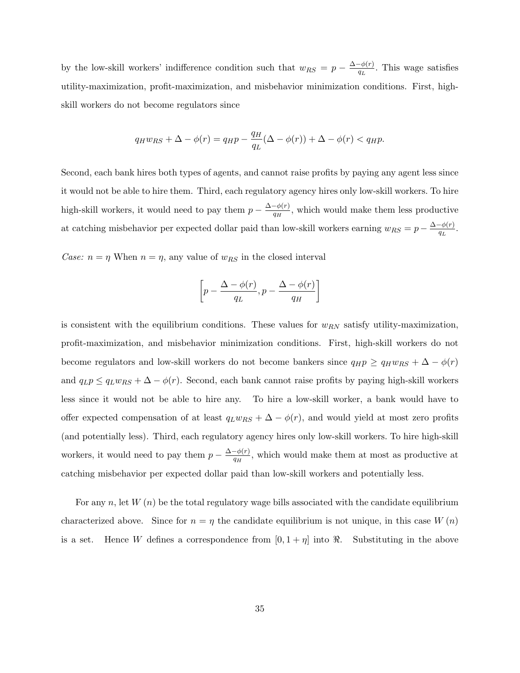by the low-skill workers' indifference condition such that  $w_{RS} = p - \frac{\Delta - \phi(r)}{q_I}$  $\frac{-\varphi(r)}{q_L}$ . This wage satisfies utility-maximization, profit-maximization, and misbehavior minimization conditions. First, highskill workers do not become regulators since

$$
q_H w_{RS} + \Delta - \phi(r) = q_H p - \frac{q_H}{q_L} (\Delta - \phi(r)) + \Delta - \phi(r) < q_H p.
$$

Second, each bank hires both types of agents, and cannot raise profits by paying any agent less since it would not be able to hire them. Third, each regulatory agency hires only low-skill workers. To hire high-skill workers, it would need to pay them  $p - \frac{\Delta - \phi(r)}{g_m}$  $\frac{-\varphi(r)}{q_H}$ , which would make them less productive at catching misbehavior per expected dollar paid than low-skill workers earning  $w_{RS} = p - \frac{\Delta - \phi(r)}{q_I}$  $\frac{-\varphi(r)}{q_L}$ .

Case:  $n = \eta$  When  $n = \eta$ , any value of  $w_{RS}$  in the closed interval

$$
\left[p - \frac{\Delta - \phi(r)}{q_L}, p - \frac{\Delta - \phi(r)}{q_H}\right]
$$

is consistent with the equilibrium conditions. These values for  $w_{RN}$  satisfy utility-maximization, profit-maximization, and misbehavior minimization conditions. First, high-skill workers do not become regulators and low-skill workers do not become bankers since  $q_{HP} \geq q_H w_{RS} + \Delta - \phi(r)$ and  $q_L p \leq q_L w_{RS} + \Delta - \phi(r)$ . Second, each bank cannot raise profits by paying high-skill workers less since it would not be able to hire any. To hire a low-skill worker, a bank would have to offer expected compensation of at least  $q_L w_{RS} + \Delta - \phi(r)$ , and would yield at most zero profits (and potentially less). Third, each regulatory agency hires only low-skill workers. To hire high-skill workers, it would need to pay them  $p - \frac{\Delta - \phi(r)}{q_H}$  $\frac{-\varphi(r)}{q_H}$ , which would make them at most as productive at catching misbehavior per expected dollar paid than low-skill workers and potentially less.

For any n, let  $W(n)$  be the total regulatory wage bills associated with the candidate equilibrium characterized above. Since for  $n = \eta$  the candidate equilibrium is not unique, in this case  $W(n)$ is a set. Hence W defines a correspondence from  $[0, 1 + \eta]$  into  $\Re$ . Substituting in the above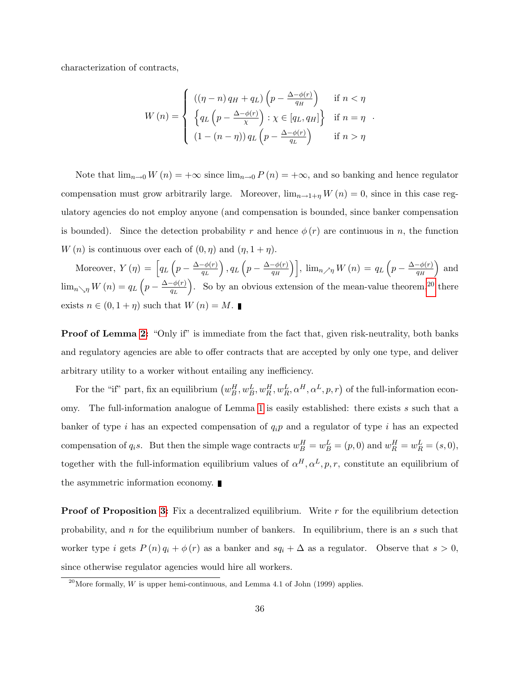characterization of contracts,

$$
W(n) = \begin{cases} ((\eta - n) q_H + q_L) \left( p - \frac{\Delta - \phi(r)}{q_H} \right) & \text{if } n < \eta \\ \left\{ q_L \left( p - \frac{\Delta - \phi(r)}{\chi} \right) : \chi \in [q_L, q_H] \right\} & \text{if } n = \eta \\ (1 - (n - \eta)) q_L \left( p - \frac{\Delta - \phi(r)}{q_L} \right) & \text{if } n > \eta \end{cases}
$$

Note that  $\lim_{n\to 0} W(n) = +\infty$  since  $\lim_{n\to 0} P(n) = +\infty$ , and so banking and hence regulator compensation must grow arbitrarily large. Moreover,  $\lim_{n\to 1+\eta} W(n) = 0$ , since in this case regulatory agencies do not employ anyone (and compensation is bounded, since banker compensation is bounded). Since the detection probability r and hence  $\phi(r)$  are continuous in n, the function  $W(n)$  is continuous over each of  $(0, \eta)$  and  $(\eta, 1 + \eta)$ .

Moreover,  $Y(\eta) = \left[ q_L \left( p - \frac{\Delta - \phi(r)}{q_L} \right) \right]$ qL ),  $q_L$   $\left(p - \frac{\Delta - \phi(r)}{q_H}\right)$  $\left\lceil \frac{\phi(r)}{q_H} \right\rceil \right\rceil, \, \lim_{n \nearrow \eta} W\left( n \right) \, = \, q_L \left( p - \frac{\Delta - \phi(r)}{q_H} \right)$  $q_H$ ) and  $\lim_{n\searrow\eta}W(n)=q_L\left(p-\frac{\Delta-\phi(r)}{q_L}\right)$  $\overline{q_L}$ ). So by an obvious extension of the mean-value theorem,<sup>[20](#page-36-0)</sup> there exists  $n \in (0, 1 + \eta)$  such that  $W(n) = M$ .

**Proof of Lemma [2:](#page-17-0)** "Only if" is immediate from the fact that, given risk-neutrality, both banks and regulatory agencies are able to offer contracts that are accepted by only one type, and deliver arbitrary utility to a worker without entailing any inefficiency.

For the "if" part, fix an equilibrium  $(w_B^H, w_B^L, w_R^H, w_R^L, \alpha^H, \alpha^L, p, r)$  of the full-information economy. The full-information analogue of Lemma [1](#page-11-0) is easily established: there exists s such that a banker of type i has an expected compensation of  $q_i p$  and a regulator of type i has an expected compensation of  $q_i s$ . But then the simple wage contracts  $w_B^H = w_B^L = (p, 0)$  and  $w_R^H = w_R^L = (s, 0)$ , together with the full-information equilibrium values of  $\alpha^H, \alpha^L, p, r$ , constitute an equilibrium of the asymmetric information economy.

**Proof of Proposition [3:](#page-18-0)** Fix a decentralized equilibrium. Write r for the equilibrium detection probability, and n for the equilibrium number of bankers. In equilibrium, there is an s such that worker type i gets  $P(n) q_i + \phi(r)$  as a banker and  $sq_i + \Delta$  as a regulator. Observe that  $s > 0$ , since otherwise regulator agencies would hire all workers.

<span id="page-36-0"></span><sup>&</sup>lt;sup>20</sup>More formally, W is upper hemi-continuous, and Lemma 4.1 of John (1999) applies.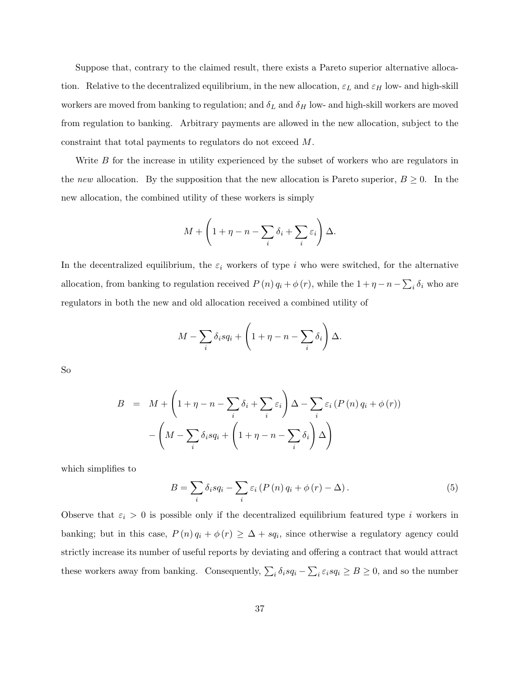Suppose that, contrary to the claimed result, there exists a Pareto superior alternative allocation. Relative to the decentralized equilibrium, in the new allocation,  $\varepsilon_L$  and  $\varepsilon_H$  low- and high-skill workers are moved from banking to regulation; and  $\delta_L$  and  $\delta_H$  low- and high-skill workers are moved from regulation to banking. Arbitrary payments are allowed in the new allocation, subject to the constraint that total payments to regulators do not exceed M.

Write  $B$  for the increase in utility experienced by the subset of workers who are regulators in the new allocation. By the supposition that the new allocation is Pareto superior,  $B \geq 0$ . In the new allocation, the combined utility of these workers is simply

$$
M + \left(1 + \eta - n - \sum_{i} \delta_i + \sum_{i} \varepsilon_i\right) \Delta.
$$

In the decentralized equilibrium, the  $\varepsilon_i$  workers of type i who were switched, for the alternative allocation, from banking to regulation received  $P(n)q_i + \phi(r)$ , while the  $1 + \eta - n - \sum_i \delta_i$  who are regulators in both the new and old allocation received a combined utility of

$$
M - \sum_{i} \delta_i s q_i + \left(1 + \eta - n - \sum_{i} \delta_i\right) \Delta.
$$

So

$$
B = M + \left(1 + \eta - n - \sum_{i} \delta_{i} + \sum_{i} \varepsilon_{i}\right) \Delta - \sum_{i} \varepsilon_{i} \left(P\left(n\right) q_{i} + \phi\left(r\right)\right) - \left(M - \sum_{i} \delta_{i} s q_{i} + \left(1 + \eta - n - \sum_{i} \delta_{i}\right) \Delta\right)
$$

which simplifies to

<span id="page-37-0"></span>
$$
B = \sum_{i} \delta_{i}sq_{i} - \sum_{i} \varepsilon_{i} (P(n) q_{i} + \phi (r) - \Delta).
$$
 (5)

Observe that  $\varepsilon_i > 0$  is possible only if the decentralized equilibrium featured type i workers in banking; but in this case,  $P(n) q_i + \phi(r) \geq \Delta + sq_i$ , since otherwise a regulatory agency could strictly increase its number of useful reports by deviating and offering a contract that would attract these workers away from banking. Consequently,  $\sum_i \delta_i sq_i - \sum_i \varepsilon_i sq_i \geq B \geq 0$ , and so the number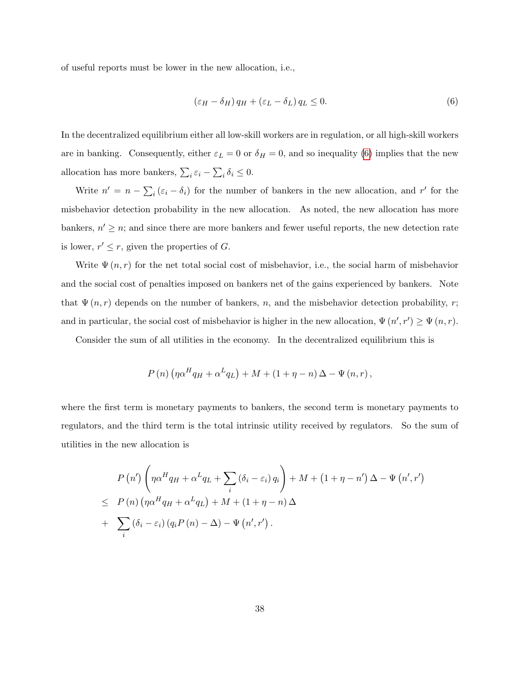of useful reports must be lower in the new allocation, i.e.,

<span id="page-38-0"></span>
$$
(\varepsilon_H - \delta_H) q_H + (\varepsilon_L - \delta_L) q_L \le 0.
$$
\n<sup>(6)</sup>

In the decentralized equilibrium either all low-skill workers are in regulation, or all high-skill workers are in banking. Consequently, either  $\varepsilon_L = 0$  or  $\delta_H = 0$ , and so inequality [\(6\)](#page-38-0) implies that the new allocation has more bankers,  $\sum_i \varepsilon_i - \sum_i \delta_i \leq 0$ .

Write  $n' = n - \sum_i (\varepsilon_i - \delta_i)$  for the number of bankers in the new allocation, and r' for the misbehavior detection probability in the new allocation. As noted, the new allocation has more bankers,  $n' \geq n$ ; and since there are more bankers and fewer useful reports, the new detection rate is lower,  $r' \leq r$ , given the properties of G.

Write  $\Psi(n,r)$  for the net total social cost of misbehavior, i.e., the social harm of misbehavior and the social cost of penalties imposed on bankers net of the gains experienced by bankers. Note that  $\Psi(n,r)$  depends on the number of bankers, n, and the misbehavior detection probability, r; and in particular, the social cost of misbehavior is higher in the new allocation,  $\Psi(n', r') \ge \Psi(n, r)$ .

Consider the sum of all utilities in the economy. In the decentralized equilibrium this is

$$
P(n)\left(\eta\alpha^H q_H + \alpha^L q_L\right) + M + (1+\eta-n)\Delta - \Psi(n,r),
$$

where the first term is monetary payments to bankers, the second term is monetary payments to regulators, and the third term is the total intrinsic utility received by regulators. So the sum of utilities in the new allocation is

$$
P(n')\left(\eta\alpha^H q_H + \alpha^L q_L + \sum_i (\delta_i - \varepsilon_i) q_i\right) + M + (1 + \eta - n')\Delta - \Psi(n', r')
$$
  
\n
$$
\leq P(n)\left(\eta\alpha^H q_H + \alpha^L q_L\right) + M + (1 + \eta - n)\Delta
$$
  
\n
$$
+ \sum_i (\delta_i - \varepsilon_i) (q_i P(n) - \Delta) - \Psi(n', r').
$$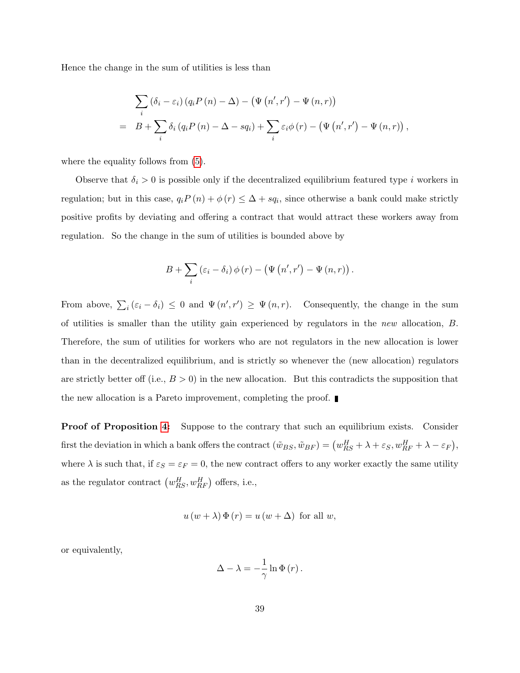Hence the change in the sum of utilities is less than

$$
\sum_{i} (\delta_{i} - \varepsilon_{i}) (q_{i} P(n) - \Delta) - (\Psi (n', r') - \Psi (n, r))
$$
  
=  $B + \sum_{i} \delta_{i} (q_{i} P(n) - \Delta - s q_{i}) + \sum_{i} \varepsilon_{i} \phi (r) - (\Psi (n', r') - \Psi (n, r)),$ 

where the equality follows from  $(5)$ .

Observe that  $\delta_i > 0$  is possible only if the decentralized equilibrium featured type i workers in regulation; but in this case,  $q_i P(n) + \phi(r) \leq \Delta + sq_i$ , since otherwise a bank could make strictly positive profits by deviating and offering a contract that would attract these workers away from regulation. So the change in the sum of utilities is bounded above by

$$
B+\sum_{i}\left(\varepsilon_{i}-\delta_{i}\right)\phi\left(r\right)-\left(\Psi\left(n',r'\right)-\Psi\left(n,r\right)\right).
$$

From above,  $\sum_i (\varepsilon_i - \delta_i) \leq 0$  and  $\Psi(n', r') \geq \Psi(n, r)$ . Consequently, the change in the sum of utilities is smaller than the utility gain experienced by regulators in the new allocation, B. Therefore, the sum of utilities for workers who are not regulators in the new allocation is lower than in the decentralized equilibrium, and is strictly so whenever the (new allocation) regulators are strictly better off (i.e.,  $B > 0$ ) in the new allocation. But this contradicts the supposition that the new allocation is a Pareto improvement, completing the proof.

**Proof of Proposition [4:](#page-20-0)** Suppose to the contrary that such an equilibrium exists. Consider first the deviation in which a bank offers the contract  $(\tilde{w}_{BS}, \tilde{w}_{BF}) = (w_{RS}^H + \lambda + \varepsilon_S, w_{RF}^H + \lambda - \varepsilon_F),$ where  $\lambda$  is such that, if  $\varepsilon_S = \varepsilon_F = 0$ , the new contract offers to any worker exactly the same utility as the regulator contract  $(w_{RS}^H, w_{RF}^H)$  offers, i.e.,

$$
u(w + \lambda) \Phi(r) = u(w + \Delta)
$$
 for all w,

or equivalently,

$$
\Delta - \lambda = -\frac{1}{\gamma} \ln \Phi(r) .
$$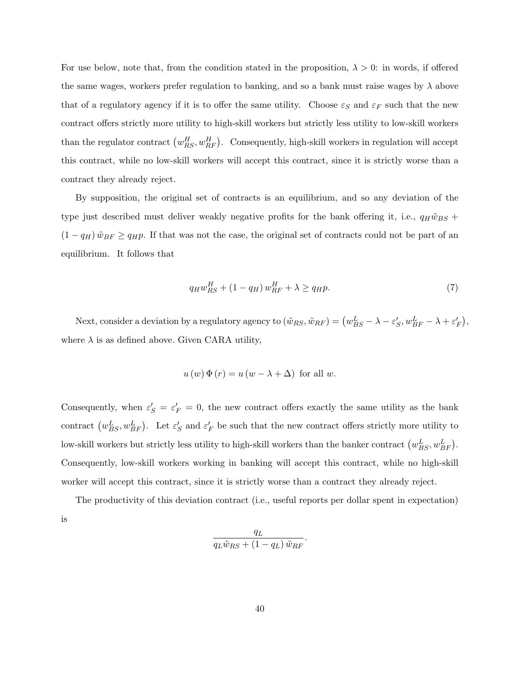For use below, note that, from the condition stated in the proposition,  $\lambda > 0$ : in words, if offered the same wages, workers prefer regulation to banking, and so a bank must raise wages by  $\lambda$  above that of a regulatory agency if it is to offer the same utility. Choose  $\varepsilon_S$  and  $\varepsilon_F$  such that the new contract offers strictly more utility to high-skill workers but strictly less utility to low-skill workers than the regulator contract  $(w_{RS}^H, w_{RF}^H)$ . Consequently, high-skill workers in regulation will accept this contract, while no low-skill workers will accept this contract, since it is strictly worse than a contract they already reject.

By supposition, the original set of contracts is an equilibrium, and so any deviation of the type just described must deliver weakly negative profits for the bank offering it, i.e.,  $q_H\tilde{w}_{BS}$  +  $(1 - q_H) \tilde{w}_{BF} \geq q_H p$ . If that was not the case, the original set of contracts could not be part of an equilibrium. It follows that

<span id="page-40-0"></span>
$$
q_H w_{RS}^H + (1 - q_H) w_{RF}^H + \lambda \ge q_H p. \tag{7}
$$

Next, consider a deviation by a regulatory agency to  $(\tilde{w}_{RS}, \tilde{w}_{RF}) = (w_{BS}^L - \lambda - \varepsilon_S', w_{BF}^L - \lambda + \varepsilon_F'),$ where  $\lambda$  is as defined above. Given CARA utility,

$$
u(w) \Phi(r) = u(w - \lambda + \Delta)
$$
 for all w.

Consequently, when  $\varepsilon'_{S} = \varepsilon'_{F} = 0$ , the new contract offers exactly the same utility as the bank contract  $(w_{BS}^L, w_{BF}^L)$ . Let  $\varepsilon_S'$  and  $\varepsilon_F'$  be such that the new contract offers strictly more utility to low-skill workers but strictly less utility to high-skill workers than the banker contract  $(w_{BS}^L, w_{BF}^L)$ . Consequently, low-skill workers working in banking will accept this contract, while no high-skill worker will accept this contract, since it is strictly worse than a contract they already reject.

The productivity of this deviation contract (i.e., useful reports per dollar spent in expectation) is

$$
\frac{q_L}{q_L\tilde{w}_{RS}+\left(1-q_L\right)\tilde{w}_{RF}}.
$$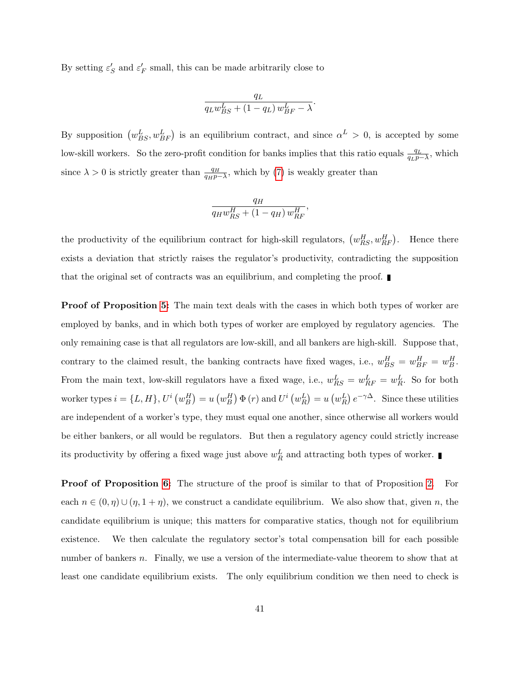By setting  $\varepsilon_S'$  and  $\varepsilon_F'$  small, this can be made arbitrarily close to

$$
\frac{q_L}{q_L w_{BS}^L + (1 - q_L) w_{BF}^L - \lambda}.
$$

By supposition  $(w_{BS}^L, w_{BF}^L)$  is an equilibrium contract, and since  $\alpha^L > 0$ , is accepted by some low-skill workers. So the zero-profit condition for banks implies that this ratio equals  $\frac{q_L}{q_L p - \lambda}$ , which since  $\lambda > 0$  is strictly greater than  $\frac{q_H}{q_H p - \lambda}$ , which by [\(7\)](#page-40-0) is weakly greater than

$$
\frac{q_H}{q_H w_{RS}^H + \left(1 - q_H\right) w_{RF}^H},
$$

the productivity of the equilibrium contract for high-skill regulators,  $(w_{RS}^H, w_{RF}^H)$ . Hence there exists a deviation that strictly raises the regulator's productivity, contradicting the supposition that the original set of contracts was an equilibrium, and completing the proof.

Proof of Proposition [5:](#page-21-1) The main text deals with the cases in which both types of worker are employed by banks, and in which both types of worker are employed by regulatory agencies. The only remaining case is that all regulators are low-skill, and all bankers are high-skill. Suppose that, contrary to the claimed result, the banking contracts have fixed wages, i.e.,  $w_{BS}^H = w_{BF}^H = w_B^H$ . From the main text, low-skill regulators have a fixed wage, i.e.,  $w_{RS}^L = w_{RF}^L = w_R^L$ . So for both worker types  $i = \{L, H\}$ ,  $U^i(w_B^H) = u(w_B^H) \Phi(r)$  and  $U^i(w_R^L) = u(w_R^L) e^{-\gamma \Delta}$ . Since these utilities are independent of a worker's type, they must equal one another, since otherwise all workers would be either bankers, or all would be regulators. But then a regulatory agency could strictly increase its productivity by offering a fixed wage just above  $w_R^L$  and attracting both types of worker.

**Proof of Proposition [6:](#page-22-1)** The structure of the proof is similar to that of Proposition [2.](#page-15-3) For each  $n \in (0, \eta) \cup (\eta, 1 + \eta)$ , we construct a candidate equilibrium. We also show that, given n, the candidate equilibrium is unique; this matters for comparative statics, though not for equilibrium existence. We then calculate the regulatory sector's total compensation bill for each possible number of bankers n. Finally, we use a version of the intermediate-value theorem to show that at least one candidate equilibrium exists. The only equilibrium condition we then need to check is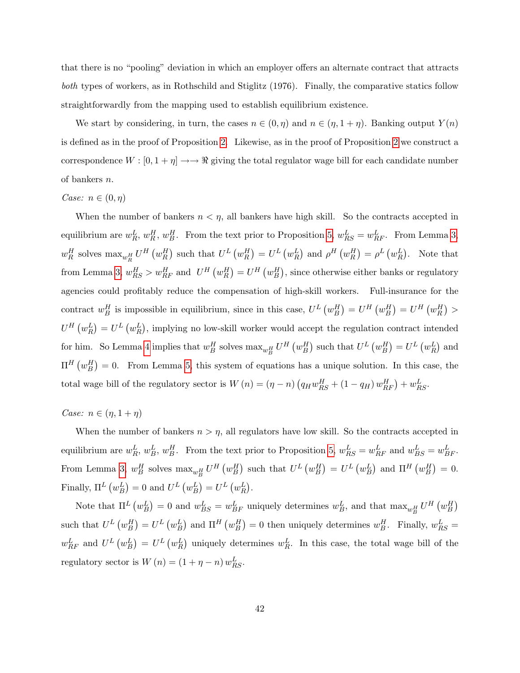that there is no "pooling" deviation in which an employer offers an alternate contract that attracts both types of workers, as in Rothschild and Stiglitz (1976). Finally, the comparative statics follow straightforwardly from the mapping used to establish equilibrium existence.

We start by considering, in turn, the cases  $n \in (0, \eta)$  and  $n \in (\eta, 1 + \eta)$ . Banking output  $Y(n)$ is defined as in the proof of Proposition [2.](#page-15-3) Likewise, as in the proof of Proposition [2](#page-15-3) we construct a correspondence  $W : [0, 1 + \eta] \rightarrow \mathbb{R}$  giving the total regulator wage bill for each candidate number of bankers n.

#### Case:  $n \in (0, \eta)$

When the number of bankers  $n < \eta$ , all bankers have high skill. So the contracts accepted in equilibrium are  $w_R^L$ ,  $w_R^H$ ,  $w_B^H$ . From the text prior to Proposition [5,](#page-21-1)  $w_{RS}^L = w_{RF}^L$ . From Lemma [3,](#page-29-0)  $w_R^H$  solves  $\max_{w_R^H} U^H(w_R^H)$  such that  $U^L(w_R^H) = U^L(w_R^L)$  and  $\rho^H(w_R^H) = \rho^L(w_R^L)$ . Note that from Lemma [3,](#page-29-0)  $w_{RS}^H > w_{RF}^H$  and  $U^H(w_R^H) = U^H(w_B^H)$ , since otherwise either banks or regulatory agencies could profitably reduce the compensation of high-skill workers. Full-insurance for the contract  $w_B^H$  is impossible in equilibrium, since in this case,  $U^L(w_B^H) = U^H(w_B^H) = U^H(w_R^H) >$  $U^H(w_R^L) = U^L(w_R^L)$ , implying no low-skill worker would accept the regulation contract intended for him. So Lemma [4](#page-30-1) implies that  $w_B^H$  solves  $\max_{w_B^H} U^H(w_B^H)$  such that  $U^L(w_B^H) = U^L(w_R^L)$  and  $\Pi^H(w_B^H) = 0$ . From Lemma [5,](#page-30-0) this system of equations has a unique solution. In this case, the total wage bill of the regulatory sector is  $W(n) = (\eta - n) (q_H w_{RS}^H + (1 - q_H) w_{RF}^H) + w_{RS}^L$ .

### Case:  $n \in (\eta, 1 + \eta)$

When the number of bankers  $n > \eta$ , all regulators have low skill. So the contracts accepted in equilibrium are  $w_R^L$ ,  $w_B^L$ ,  $w_B^H$ . From the text prior to Proposition [5,](#page-21-1)  $w_{RS}^L = w_{RF}^L$  and  $w_{BS}^L = w_{BF}^L$ . From Lemma [3,](#page-29-0)  $w_B^H$  solves  $\max_{w_B^H} U^H(w_B^H)$  such that  $U^L(w_B^H) = U^L(w_B^L)$  and  $\Pi^H(w_B^H) = 0$ . Finally,  $\Pi^L (w_B^L) = 0$  and  $U^L (w_B^L) = U^L (w_R^L)$ .

Note that  $\Pi^L(w_B^L) = 0$  and  $w_{BS}^L = w_{BF}^L$  uniquely determines  $w_B^L$ , and that  $\max_{w_B^H} U^H(w_B^H)$ such that  $U^L(w_B^H) = U^L(w_B^L)$  and  $\Pi^H(w_B^H) = 0$  then uniquely determines  $w_B^H$ . Finally,  $w_{RS}^L =$  $w_{RF}^L$  and  $U^L(w_B^L) = U^L(w_R^L)$  uniquely determines  $w_R^L$ . In this case, the total wage bill of the regulatory sector is  $W(n) = (1 + \eta - n) w_{RS}^L$ .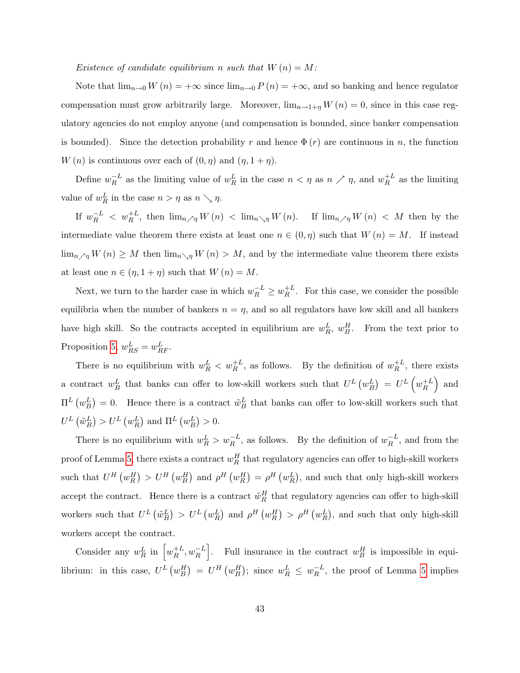#### Existence of candidate equilibrium n such that  $W(n) = M$ :

Note that  $\lim_{n\to 0} W(n) = +\infty$  since  $\lim_{n\to 0} P(n) = +\infty$ , and so banking and hence regulator compensation must grow arbitrarily large. Moreover,  $\lim_{n\to 1+\eta} W(n) = 0$ , since in this case regulatory agencies do not employ anyone (and compensation is bounded, since banker compensation is bounded). Since the detection probability r and hence  $\Phi(r)$  are continuous in n, the function  $W(n)$  is continuous over each of  $(0, \eta)$  and  $(\eta, 1 + \eta)$ .

Define  $w_R^{-L}$  $\overline{R}^L$  as the limiting value of  $w_R^L$  in the case  $n < \eta$  as  $n \nearrow \eta$ , and  $w_R^{+L}$  $R^{\dagger L}$  as the limiting value of  $w_R^L$  in the case  $n > \eta$  as  $n \searrow \eta$ .

If  $w_R^{-L} < w_R^{+L}$ , then  $\lim_{n \nearrow \eta} W(n) < \lim_{n \searrow \eta} W(n)$ . If  $\lim_{n \nearrow \eta} W(n) < M$  then by the intermediate value theorem there exists at least one  $n \in (0, \eta)$  such that  $W(n) = M$ . If instead  $\lim_{n \nearrow \eta} W(n) \geq M$  then  $\lim_{n \searrow \eta} W(n) > M$ , and by the intermediate value theorem there exists at least one  $n \in (\eta, 1 + \eta)$  such that  $W(n) = M$ .

Next, we turn to the harder case in which  $w_R^{-L} \ge w_R^{+L}$  $R^+$ . For this case, we consider the possible equilibria when the number of bankers  $n = \eta$ , and so all regulators have low skill and all bankers have high skill. So the contracts accepted in equilibrium are  $w_R^L$ ,  $w_B^H$ . From the text prior to Proposition [5,](#page-21-1)  $w_{RS}^L = w_{RF}^L$ .

There is no equilibrium with  $w_R^L < w_R^{+L}$ , as follows. By the definition of  $w_R^{+L}$  $\frac{+L}{R}$ , there exists a contract  $w_B^L$  that banks can offer to low-skill workers such that  $U^L(w_B^L) = U^L(w_R^{+L})$  $\binom{+L}{R}$  and  $\Pi^L(w_B^L) = 0$ . Hence there is a contract  $\tilde{w}_B^L$  that banks can offer to low-skill workers such that  $U^L(\tilde{w}_B^L) > U^L(w_R^L)$  and  $\Pi^L(w_B^L) > 0$ .

There is no equilibrium with  $w_R^L > w_R^{-L}$ , as follows. By the definition of  $w_R^{-L}$  $\overline{R}^L$ , and from the proof of Lemma [5,](#page-30-0) there exists a contract  $w_R^H$  that regulatory agencies can offer to high-skill workers such that  $U^H(w_R^H) > U^H(w_B^H)$  and  $\rho^H(w_R^H) = \rho^H(w_R^L)$ , and such that only high-skill workers accept the contract. Hence there is a contract  $\tilde{w}_R^H$  that regulatory agencies can offer to high-skill workers such that  $U^L(\tilde{w}_B^L) > U^L(w_R^L)$  and  $\rho^H(w_R^H) > \rho^H(w_R^L)$ , and such that only high-skill workers accept the contract.

Consider any  $w_R^L$  in  $\left[w_R^{+L}\right]$  $\left[\begin{array}{c} +L, w_R^{-L} \end{array}\right]$ . Full insurance in the contract  $w_B^H$  is impossible in equilibrium: in this case,  $U^L(w_B^H) = U^H(w_B^H)$ ; since  $w_R^L \leq w_R^{-L}$  $R^{-L}$ , the proof of Lemma [5](#page-30-0) implies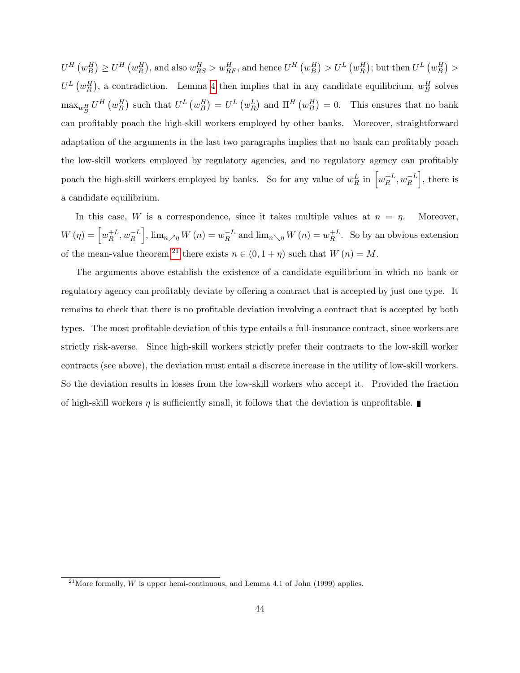$U^H\left (w^H_B\right )\geq U^H\left (w^H_R\right ),$  and also  $w^H_{RS}>w^H_{RF},$  and hence  $U^H\left (w^H_B\right )>U^L\left (w^H_R\right );$  but then  $U^L\left (w^H_B\right )>$  $U^L(w_R^H)$ , a contradiction. Lemma [4](#page-30-1) then implies that in any candidate equilibrium,  $w_B^H$  solves  $\max_{w_B^H} U^H(w_B^H)$  such that  $U^L(w_B^H) = U^L(w_R^L)$  and  $\Pi^H(w_B^H) = 0$ . This ensures that no bank can profitably poach the high-skill workers employed by other banks. Moreover, straightforward adaptation of the arguments in the last two paragraphs implies that no bank can profitably poach the low-skill workers employed by regulatory agencies, and no regulatory agency can profitably poach the high-skill workers employed by banks. So for any value of  $w_R^L$  in  $\left[w_R^{+L}\right]$  $\left. \frac{1}{R} L, w_R^{-L} \right],$  there is a candidate equilibrium.

In this case, W is a correspondence, since it takes multiple values at  $n = \eta$ . Moreover,  $W(\eta) = \begin{bmatrix} w_R^{+L} \end{bmatrix}$  $\left[\frac{1}{R}, w_R^{-L}\right], \lim_{n \nearrow \eta} W(n) = w_R^{-L}$  $_{R}^{-L}$  and  $\lim_{n\searrow\eta}W(n) = w_{R}^{+L}$  $R^+$ . So by an obvious extension of the mean-value theorem,<sup>[21](#page-44-0)</sup> there exists  $n \in (0, 1 + \eta)$  such that  $W(n) = M$ .

The arguments above establish the existence of a candidate equilibrium in which no bank or regulatory agency can profitably deviate by offering a contract that is accepted by just one type. It remains to check that there is no profitable deviation involving a contract that is accepted by both types. The most profitable deviation of this type entails a full-insurance contract, since workers are strictly risk-averse. Since high-skill workers strictly prefer their contracts to the low-skill worker contracts (see above), the deviation must entail a discrete increase in the utility of low-skill workers. So the deviation results in losses from the low-skill workers who accept it. Provided the fraction of high-skill workers  $\eta$  is sufficiently small, it follows that the deviation is unprofitable.

<span id="page-44-0"></span><sup>&</sup>lt;sup>21</sup>More formally, *W* is upper hemi-continuous, and Lemma 4.1 of John (1999) applies.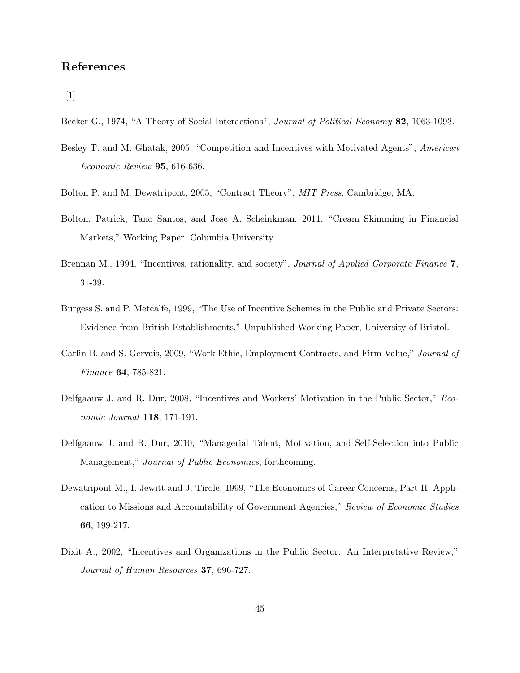# References

 $\lceil 1 \rceil$ 

- Becker G., 1974, "A Theory of Social Interactions", Journal of Political Economy 82, 1063-1093.
- Besley T. and M. Ghatak, 2005, "Competition and Incentives with Motivated Agents", American Economic Review 95, 616-636.
- Bolton P. and M. Dewatripont, 2005, "Contract Theory", MIT Press, Cambridge, MA.
- Bolton, Patrick, Tano Santos, and Jose A. Scheinkman, 2011, "Cream Skimming in Financial Markets," Working Paper, Columbia University.
- Brennan M., 1994, "Incentives, rationality, and society", *Journal of Applied Corporate Finance* 7, 31-39.
- Burgess S. and P. Metcalfe, 1999, "The Use of Incentive Schemes in the Public and Private Sectors: Evidence from British Establishments," Unpublished Working Paper, University of Bristol.
- Carlin B. and S. Gervais, 2009, "Work Ethic, Employment Contracts, and Firm Value," Journal of Finance 64, 785-821.
- Delfgaauw J. and R. Dur, 2008, "Incentives and Workers' Motivation in the Public Sector," Economic Journal 118, 171-191.
- Delfgaauw J. and R. Dur, 2010, "Managerial Talent, Motivation, and Self-Selection into Public Management," Journal of Public Economics, forthcoming.
- Dewatripont M., I. Jewitt and J. Tirole, 1999, "The Economics of Career Concerns, Part II: Application to Missions and Accountability of Government Agencies," Review of Economic Studies 66, 199-217.
- Dixit A., 2002, "Incentives and Organizations in the Public Sector: An Interpretative Review," Journal of Human Resources 37, 696-727.